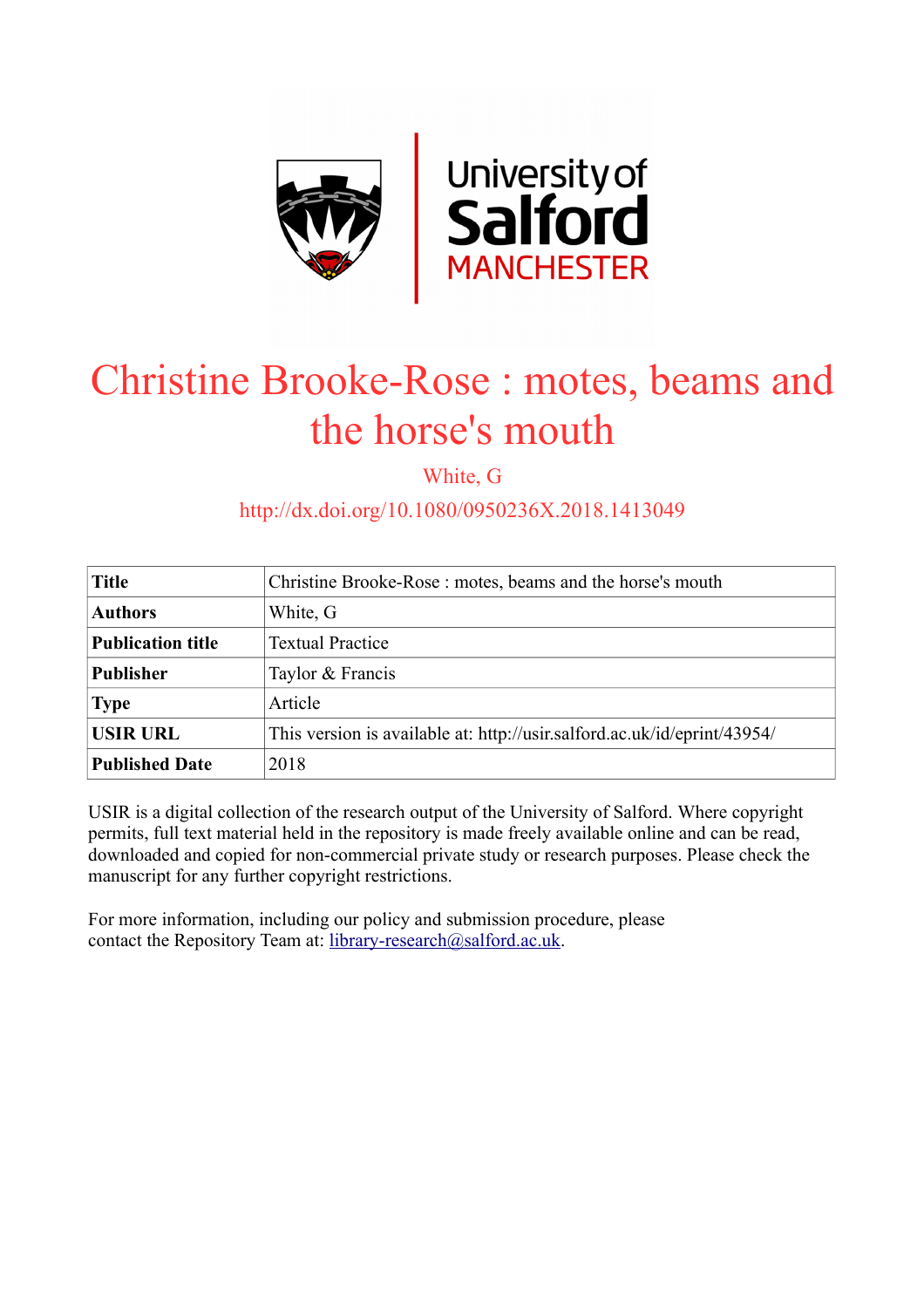

# Christine Brooke-Rose : motes, beams and the horse's mouth

White, G

http://dx.doi.org/10.1080/0950236X.2018.1413049

| <b>Title</b>             | Christine Brooke-Rose: motes, beams and the horse's mouth                |
|--------------------------|--------------------------------------------------------------------------|
| <b>Authors</b>           | White, G                                                                 |
| <b>Publication title</b> | <b>Textual Practice</b>                                                  |
| <b>Publisher</b>         | Taylor & Francis                                                         |
| <b>Type</b>              | Article                                                                  |
| <b>USIR URL</b>          | This version is available at: http://usir.salford.ac.uk/id/eprint/43954/ |
| <b>Published Date</b>    | 2018                                                                     |

USIR is a digital collection of the research output of the University of Salford. Where copyright permits, full text material held in the repository is made freely available online and can be read, downloaded and copied for non-commercial private study or research purposes. Please check the manuscript for any further copyright restrictions.

For more information, including our policy and submission procedure, please contact the Repository Team at: [library-research@salford.ac.uk.](mailto:library-research@salford.ac.uk)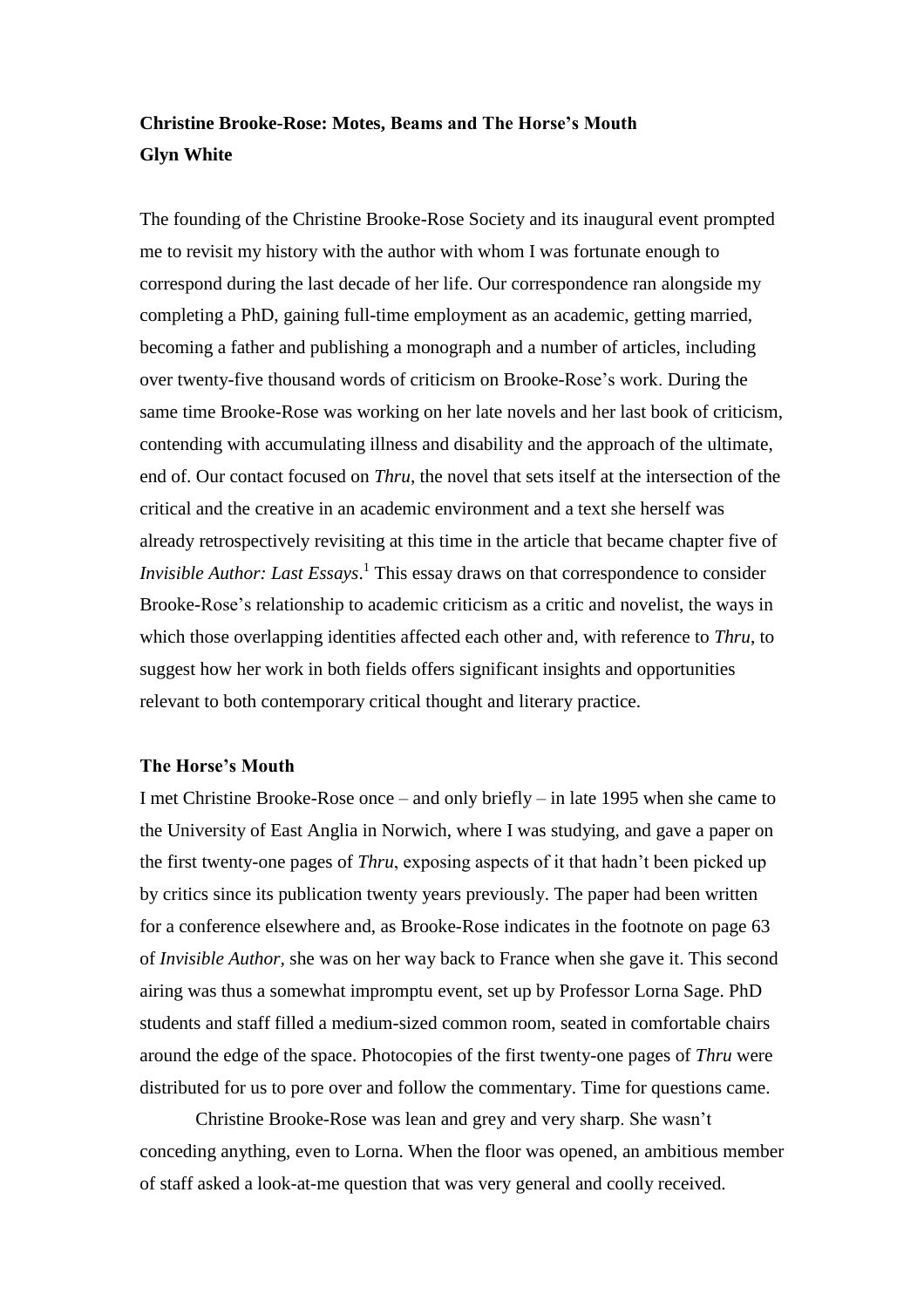# **Christine Brooke-Rose: Motes, Beams and The Horse's Mouth Glyn White**

The founding of the Christine Brooke-Rose Society and its inaugural event prompted me to revisit my history with the author with whom I was fortunate enough to correspond during the last decade of her life. Our correspondence ran alongside my completing a PhD, gaining full-time employment as an academic, getting married, becoming a father and publishing a monograph and a number of articles, including over twenty-five thousand words of criticism on Brooke-Rose's work. During the same time Brooke-Rose was working on her late novels and her last book of criticism, contending with accumulating illness and disability and the approach of the ultimate, end of. Our contact focused on *Thru*, the novel that sets itself at the intersection of the critical and the creative in an academic environment and a text she herself was already retrospectively revisiting at this time in the article that became chapter five of *Invisible Author: Last Essays*. <sup>1</sup> This essay draws on that correspondence to consider Brooke-Rose's relationship to academic criticism as a critic and novelist, the ways in which those overlapping identities affected each other and, with reference to *Thru*, to suggest how her work in both fields offers significant insights and opportunities relevant to both contemporary critical thought and literary practice.

### **The Horse's Mouth**

I met Christine Brooke-Rose once – and only briefly – in late 1995 when she came to the University of East Anglia in Norwich, where I was studying, and gave a paper on the first twenty-one pages of *Thru*, exposing aspects of it that hadn't been picked up by critics since its publication twenty years previously. The paper had been written for a conference elsewhere and, as Brooke-Rose indicates in the footnote on page 63 of *Invisible Author,* she was on her way back to France when she gave it. This second airing was thus a somewhat impromptu event, set up by Professor Lorna Sage. PhD students and staff filled a medium-sized common room, seated in comfortable chairs around the edge of the space. Photocopies of the first twenty-one pages of *Thru* were distributed for us to pore over and follow the commentary. Time for questions came.

Christine Brooke-Rose was lean and grey and very sharp. She wasn't conceding anything, even to Lorna. When the floor was opened, an ambitious member of staff asked a look-at-me question that was very general and coolly received.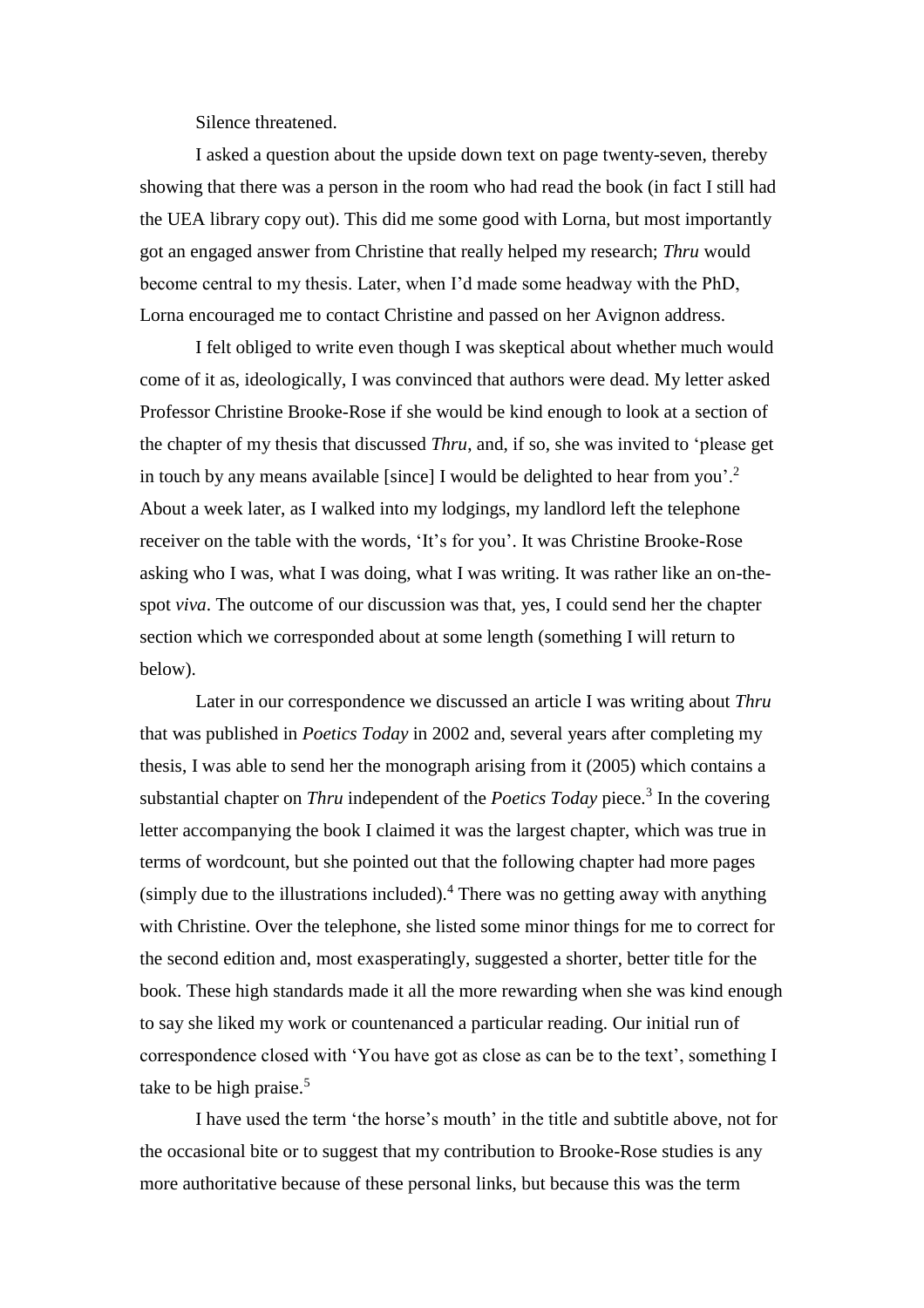Silence threatened.

I asked a question about the upside down text on page twenty-seven, thereby showing that there was a person in the room who had read the book (in fact I still had the UEA library copy out). This did me some good with Lorna, but most importantly got an engaged answer from Christine that really helped my research; *Thru* would become central to my thesis. Later, when I'd made some headway with the PhD, Lorna encouraged me to contact Christine and passed on her Avignon address.

I felt obliged to write even though I was skeptical about whether much would come of it as, ideologically, I was convinced that authors were dead. My letter asked Professor Christine Brooke-Rose if she would be kind enough to look at a section of the chapter of my thesis that discussed *Thru*, and, if so, she was invited to 'please get in touch by any means available [since] I would be delighted to hear from you'.<sup>2</sup> About a week later, as I walked into my lodgings, my landlord left the telephone receiver on the table with the words, 'It's for you'. It was Christine Brooke-Rose asking who I was, what I was doing, what I was writing. It was rather like an on-thespot *viva*. The outcome of our discussion was that, yes, I could send her the chapter section which we corresponded about at some length (something I will return to below).

Later in our correspondence we discussed an article I was writing about *Thru* that was published in *Poetics Today* in 2002 and, several years after completing my thesis, I was able to send her the monograph arising from it (2005) which contains a substantial chapter on *Thru* independent of the *Poetics Today* piece. 3 In the covering letter accompanying the book I claimed it was the largest chapter, which was true in terms of wordcount, but she pointed out that the following chapter had more pages (simply due to the illustrations included).<sup>4</sup> There was no getting away with anything with Christine. Over the telephone, she listed some minor things for me to correct for the second edition and, most exasperatingly, suggested a shorter, better title for the book. These high standards made it all the more rewarding when she was kind enough to say she liked my work or countenanced a particular reading. Our initial run of correspondence closed with 'You have got as close as can be to the text', something I take to be high praise. $5$ 

I have used the term 'the horse's mouth' in the title and subtitle above, not for the occasional bite or to suggest that my contribution to Brooke-Rose studies is any more authoritative because of these personal links, but because this was the term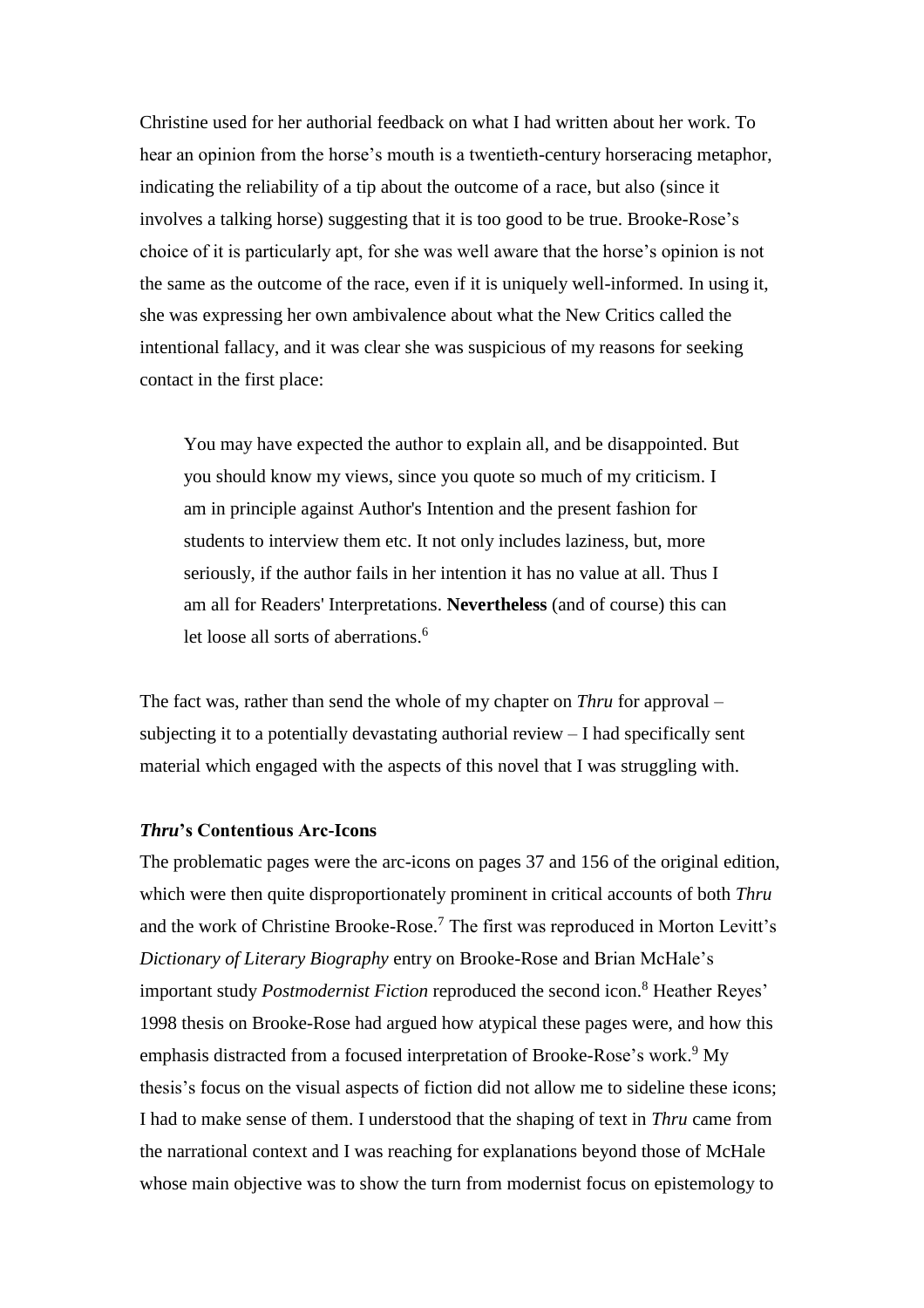Christine used for her authorial feedback on what I had written about her work. To hear an opinion from the horse's mouth is a twentieth-century horseracing metaphor, indicating the reliability of a tip about the outcome of a race, but also (since it involves a talking horse) suggesting that it is too good to be true. Brooke-Rose's choice of it is particularly apt, for she was well aware that the horse's opinion is not the same as the outcome of the race, even if it is uniquely well-informed. In using it, she was expressing her own ambivalence about what the New Critics called the intentional fallacy, and it was clear she was suspicious of my reasons for seeking contact in the first place:

You may have expected the author to explain all, and be disappointed. But you should know my views, since you quote so much of my criticism. I am in principle against Author's Intention and the present fashion for students to interview them etc. It not only includes laziness, but, more seriously, if the author fails in her intention it has no value at all. Thus I am all for Readers' Interpretations. **Nevertheless** (and of course) this can let loose all sorts of aberrations.<sup>6</sup>

The fact was, rather than send the whole of my chapter on *Thru* for approval – subjecting it to a potentially devastating authorial review – I had specifically sent material which engaged with the aspects of this novel that I was struggling with.

# *Thru***'s Contentious Arc-Icons**

The problematic pages were the arc-icons on pages 37 and 156 of the original edition, which were then quite disproportionately prominent in critical accounts of both *Thru* and the work of Christine Brooke-Rose.<sup>7</sup> The first was reproduced in Morton Levitt's *Dictionary of Literary Biography* entry on Brooke-Rose and Brian McHale's important study *Postmodernist Fiction* reproduced the second icon.<sup>8</sup> Heather Reyes' 1998 thesis on Brooke-Rose had argued how atypical these pages were, and how this emphasis distracted from a focused interpretation of Brooke-Rose's work.<sup>9</sup> My thesis's focus on the visual aspects of fiction did not allow me to sideline these icons; I had to make sense of them. I understood that the shaping of text in *Thru* came from the narrational context and I was reaching for explanations beyond those of McHale whose main objective was to show the turn from modernist focus on epistemology to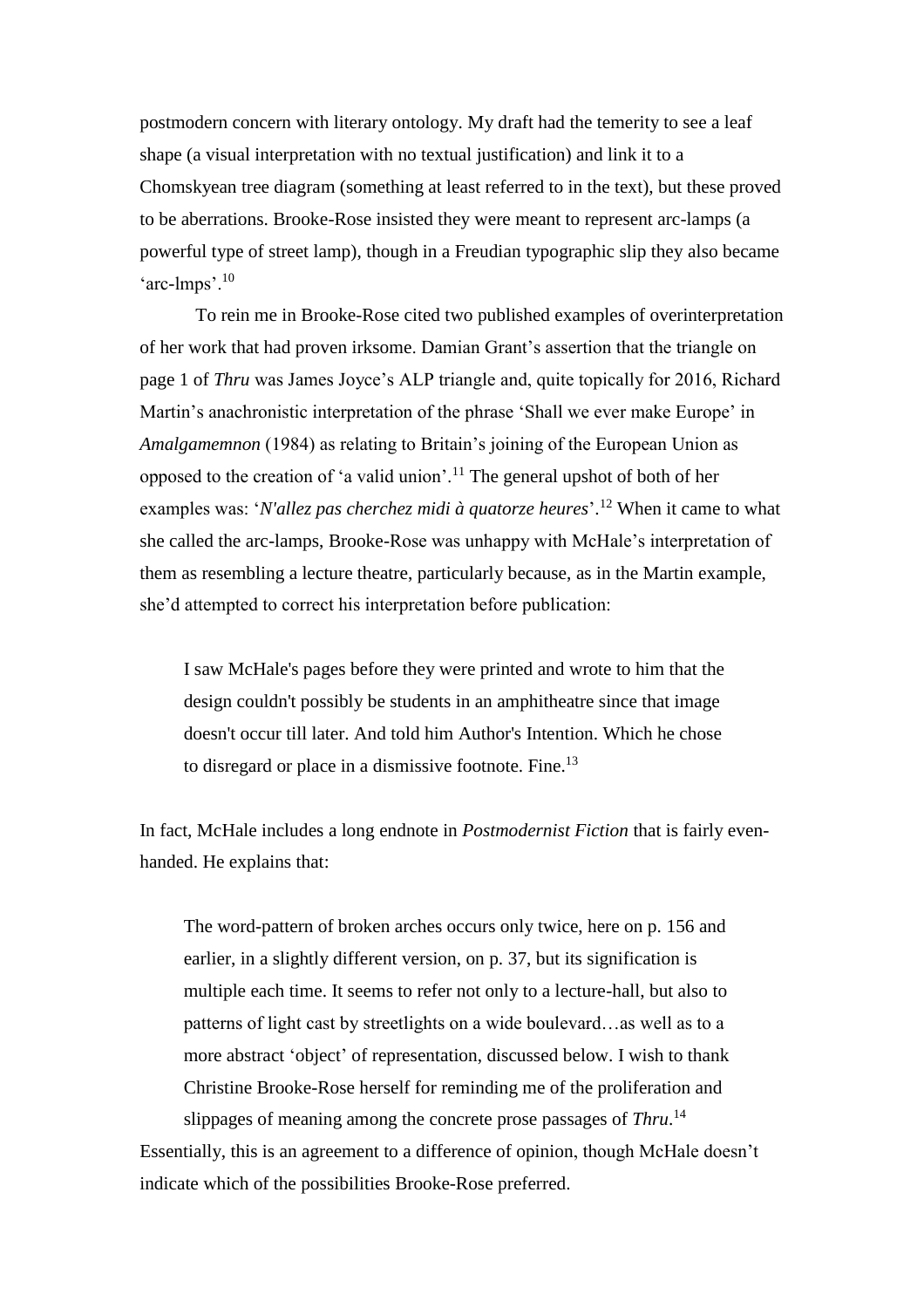postmodern concern with literary ontology. My draft had the temerity to see a leaf shape (a visual interpretation with no textual justification) and link it to a Chomskyean tree diagram (something at least referred to in the text), but these proved to be aberrations. Brooke-Rose insisted they were meant to represent arc-lamps (a powerful type of street lamp), though in a Freudian typographic slip they also became 'arc-lmps'.<sup>10</sup>

To rein me in Brooke-Rose cited two published examples of overinterpretation of her work that had proven irksome. Damian Grant's assertion that the triangle on page 1 of *Thru* was James Joyce's ALP triangle and, quite topically for 2016, Richard Martin's anachronistic interpretation of the phrase 'Shall we ever make Europe' in *Amalgamemnon* (1984) as relating to Britain's joining of the European Union as opposed to the creation of 'a valid union'.<sup>11</sup> The general upshot of both of her examples was: '*N'allez pas cherchez midi à quatorze heures*'. <sup>12</sup> When it came to what she called the arc-lamps, Brooke-Rose was unhappy with McHale's interpretation of them as resembling a lecture theatre, particularly because, as in the Martin example, she'd attempted to correct his interpretation before publication:

I saw McHale's pages before they were printed and wrote to him that the design couldn't possibly be students in an amphitheatre since that image doesn't occur till later. And told him Author's Intention. Which he chose to disregard or place in a dismissive footnote. Fine.<sup>13</sup>

In fact, McHale includes a long endnote in *Postmodernist Fiction* that is fairly evenhanded. He explains that:

The word-pattern of broken arches occurs only twice, here on p. 156 and earlier, in a slightly different version, on p. 37, but its signification is multiple each time. It seems to refer not only to a lecture-hall, but also to patterns of light cast by streetlights on a wide boulevard…as well as to a more abstract 'object' of representation, discussed below. I wish to thank Christine Brooke-Rose herself for reminding me of the proliferation and slippages of meaning among the concrete prose passages of *Thru*. 14 Essentially, this is an agreement to a difference of opinion, though McHale doesn't indicate which of the possibilities Brooke-Rose preferred.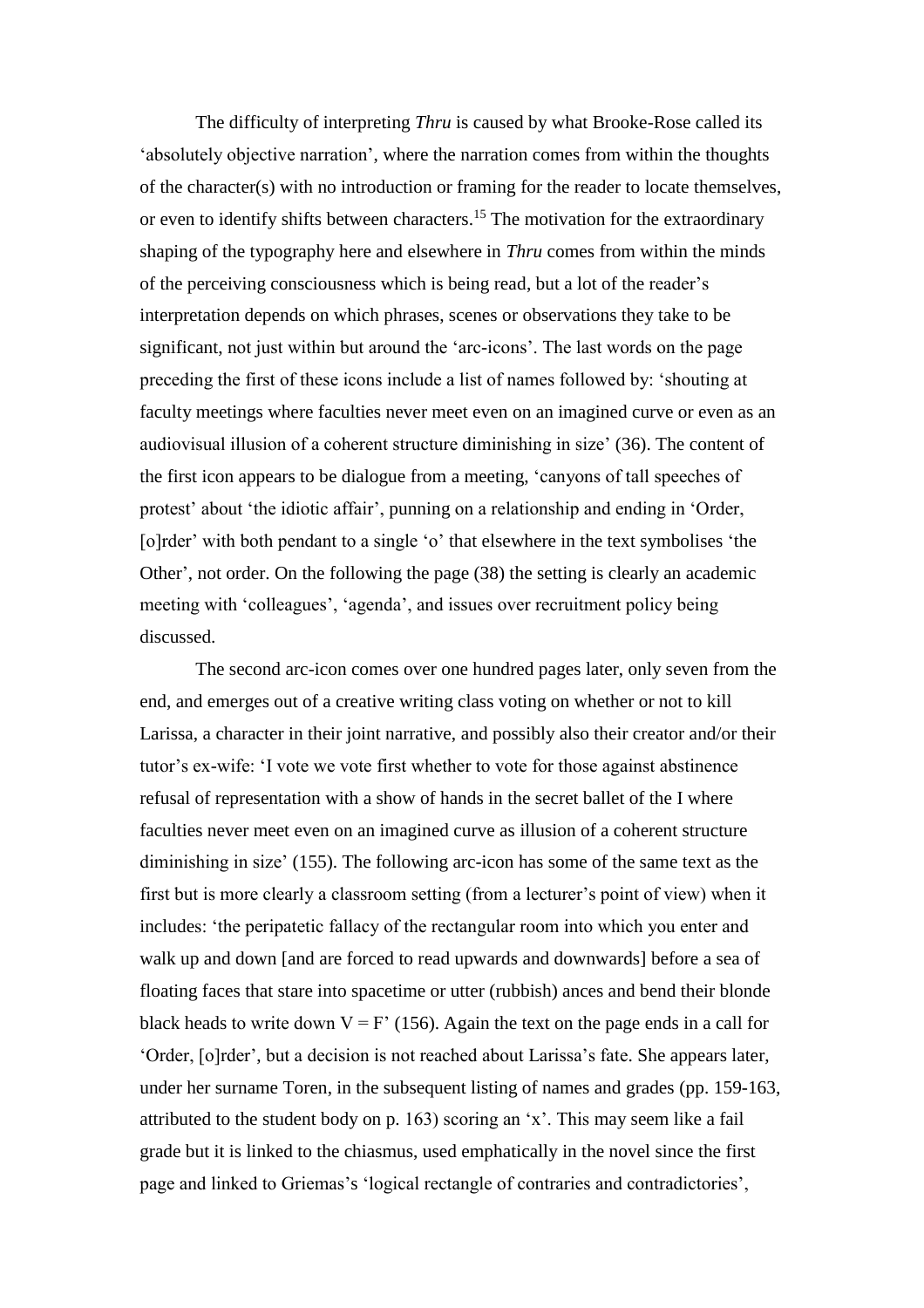The difficulty of interpreting *Thru* is caused by what Brooke-Rose called its 'absolutely objective narration', where the narration comes from within the thoughts of the character(s) with no introduction or framing for the reader to locate themselves, or even to identify shifts between characters.<sup>15</sup> The motivation for the extraordinary shaping of the typography here and elsewhere in *Thru* comes from within the minds of the perceiving consciousness which is being read, but a lot of the reader's interpretation depends on which phrases, scenes or observations they take to be significant, not just within but around the 'arc-icons'. The last words on the page preceding the first of these icons include a list of names followed by: 'shouting at faculty meetings where faculties never meet even on an imagined curve or even as an audiovisual illusion of a coherent structure diminishing in size' (36). The content of the first icon appears to be dialogue from a meeting, 'canyons of tall speeches of protest' about 'the idiotic affair', punning on a relationship and ending in 'Order, [o]rder' with both pendant to a single 'o' that elsewhere in the text symbolises 'the Other', not order. On the following the page (38) the setting is clearly an academic meeting with 'colleagues', 'agenda', and issues over recruitment policy being discussed.

The second arc-icon comes over one hundred pages later, only seven from the end, and emerges out of a creative writing class voting on whether or not to kill Larissa, a character in their joint narrative, and possibly also their creator and/or their tutor's ex-wife: 'I vote we vote first whether to vote for those against abstinence refusal of representation with a show of hands in the secret ballet of the I where faculties never meet even on an imagined curve as illusion of a coherent structure diminishing in size' (155). The following arc-icon has some of the same text as the first but is more clearly a classroom setting (from a lecturer's point of view) when it includes: 'the peripatetic fallacy of the rectangular room into which you enter and walk up and down [and are forced to read upwards and downwards] before a sea of floating faces that stare into spacetime or utter (rubbish) ances and bend their blonde black heads to write down  $V = F'$  (156). Again the text on the page ends in a call for 'Order, [o]rder', but a decision is not reached about Larissa's fate. She appears later, under her surname Toren, in the subsequent listing of names and grades (pp. 159-163, attributed to the student body on p. 163) scoring an 'x'. This may seem like a fail grade but it is linked to the chiasmus, used emphatically in the novel since the first page and linked to Griemas's 'logical rectangle of contraries and contradictories',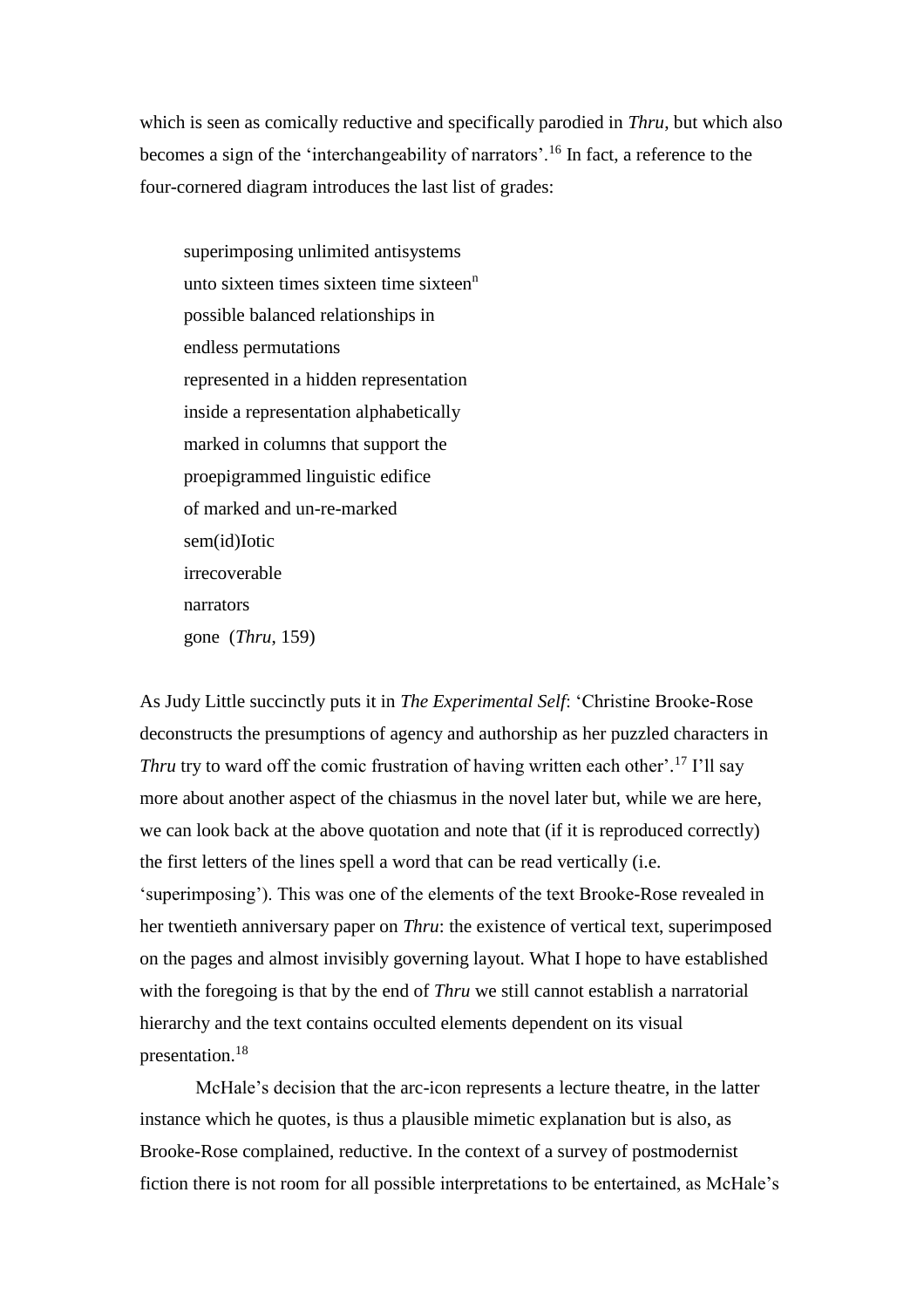which is seen as comically reductive and specifically parodied in *Thru*, but which also becomes a sign of the 'interchangeability of narrators'.<sup>16</sup> In fact, a reference to the four-cornered diagram introduces the last list of grades:

superimposing unlimited antisystems unto sixteen times sixteen time sixteen $<sup>n</sup>$ </sup> possible balanced relationships in endless permutations represented in a hidden representation inside a representation alphabetically marked in columns that support the proepigrammed linguistic edifice of marked and un-re-marked sem(id)Iotic irrecoverable narrators gone (*Thru*, 159)

As Judy Little succinctly puts it in *The Experimental Self*: 'Christine Brooke-Rose deconstructs the presumptions of agency and authorship as her puzzled characters in *Thru* try to ward off the comic frustration of having written each other'.<sup>17</sup> I'll say more about another aspect of the chiasmus in the novel later but, while we are here, we can look back at the above quotation and note that (if it is reproduced correctly) the first letters of the lines spell a word that can be read vertically (i.e. 'superimposing'). This was one of the elements of the text Brooke-Rose revealed in her twentieth anniversary paper on *Thru*: the existence of vertical text, superimposed on the pages and almost invisibly governing layout. What I hope to have established with the foregoing is that by the end of *Thru* we still cannot establish a narratorial hierarchy and the text contains occulted elements dependent on its visual presentation.<sup>18</sup>

McHale's decision that the arc-icon represents a lecture theatre, in the latter instance which he quotes, is thus a plausible mimetic explanation but is also, as Brooke-Rose complained, reductive. In the context of a survey of postmodernist fiction there is not room for all possible interpretations to be entertained, as McHale's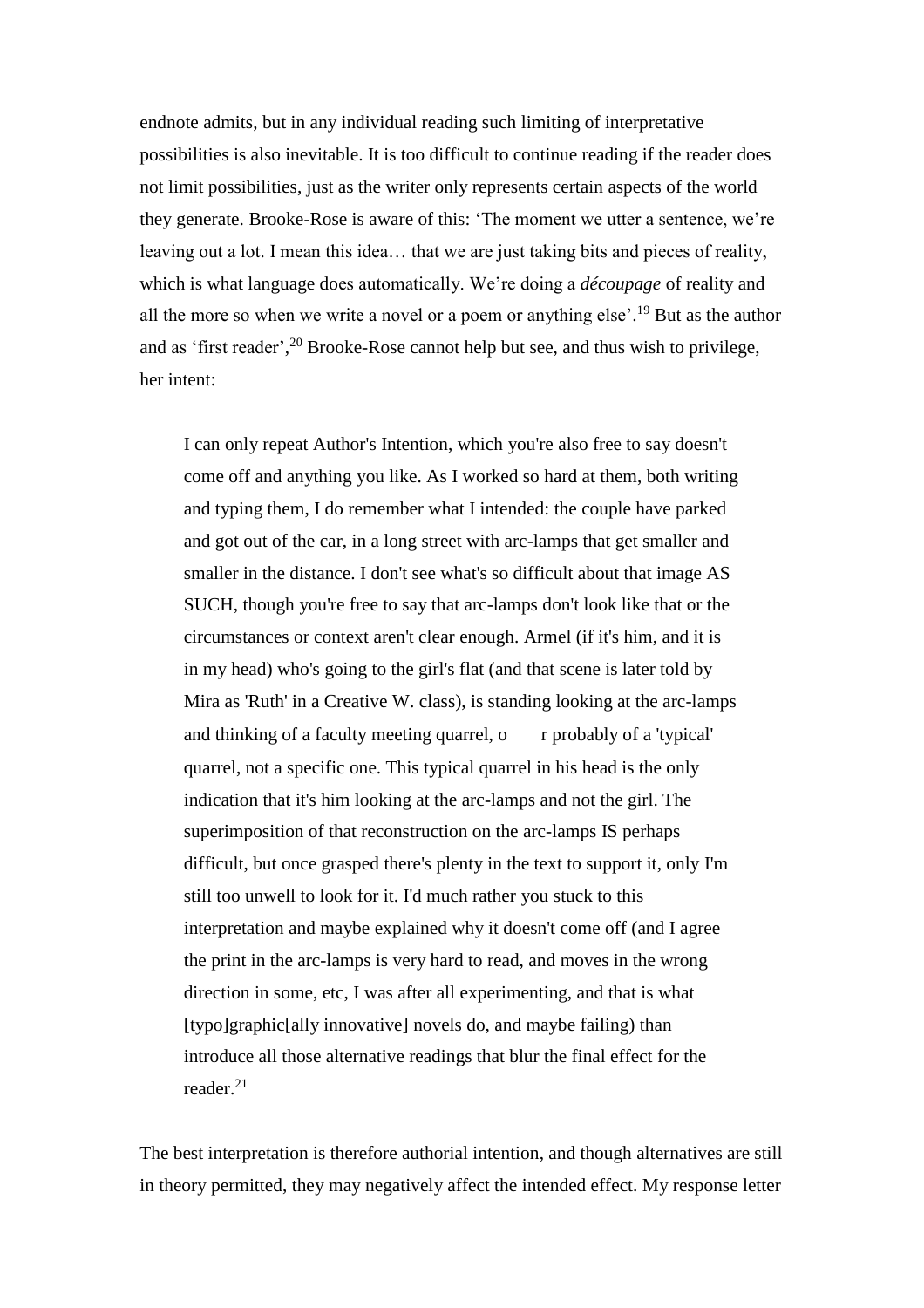endnote admits, but in any individual reading such limiting of interpretative possibilities is also inevitable. It is too difficult to continue reading if the reader does not limit possibilities, just as the writer only represents certain aspects of the world they generate. Brooke-Rose is aware of this: 'The moment we utter a sentence, we're leaving out a lot. I mean this idea… that we are just taking bits and pieces of reality, which is what language does automatically. We're doing a *découpage* of reality and all the more so when we write a novel or a poem or anything else'.<sup>19</sup> But as the author and as 'first reader',<sup>20</sup> Brooke-Rose cannot help but see, and thus wish to privilege, her intent:

I can only repeat Author's Intention, which you're also free to say doesn't come off and anything you like. As I worked so hard at them, both writing and typing them, I do remember what I intended: the couple have parked and got out of the car, in a long street with arc-lamps that get smaller and smaller in the distance. I don't see what's so difficult about that image AS SUCH, though you're free to say that arc-lamps don't look like that or the circumstances or context aren't clear enough. Armel (if it's him, and it is in my head) who's going to the girl's flat (and that scene is later told by Mira as 'Ruth' in a Creative W. class), is standing looking at the arc-lamps and thinking of a faculty meeting quarrel, o r probably of a 'typical' quarrel, not a specific one. This typical quarrel in his head is the only indication that it's him looking at the arc-lamps and not the girl. The superimposition of that reconstruction on the arc-lamps IS perhaps difficult, but once grasped there's plenty in the text to support it, only I'm still too unwell to look for it. I'd much rather you stuck to this interpretation and maybe explained why it doesn't come off (and I agree the print in the arc-lamps is very hard to read, and moves in the wrong direction in some, etc, I was after all experimenting, and that is what [typo]graphic[ally innovative] novels do, and maybe failing) than introduce all those alternative readings that blur the final effect for the reader.<sup>21</sup>

The best interpretation is therefore authorial intention, and though alternatives are still in theory permitted, they may negatively affect the intended effect. My response letter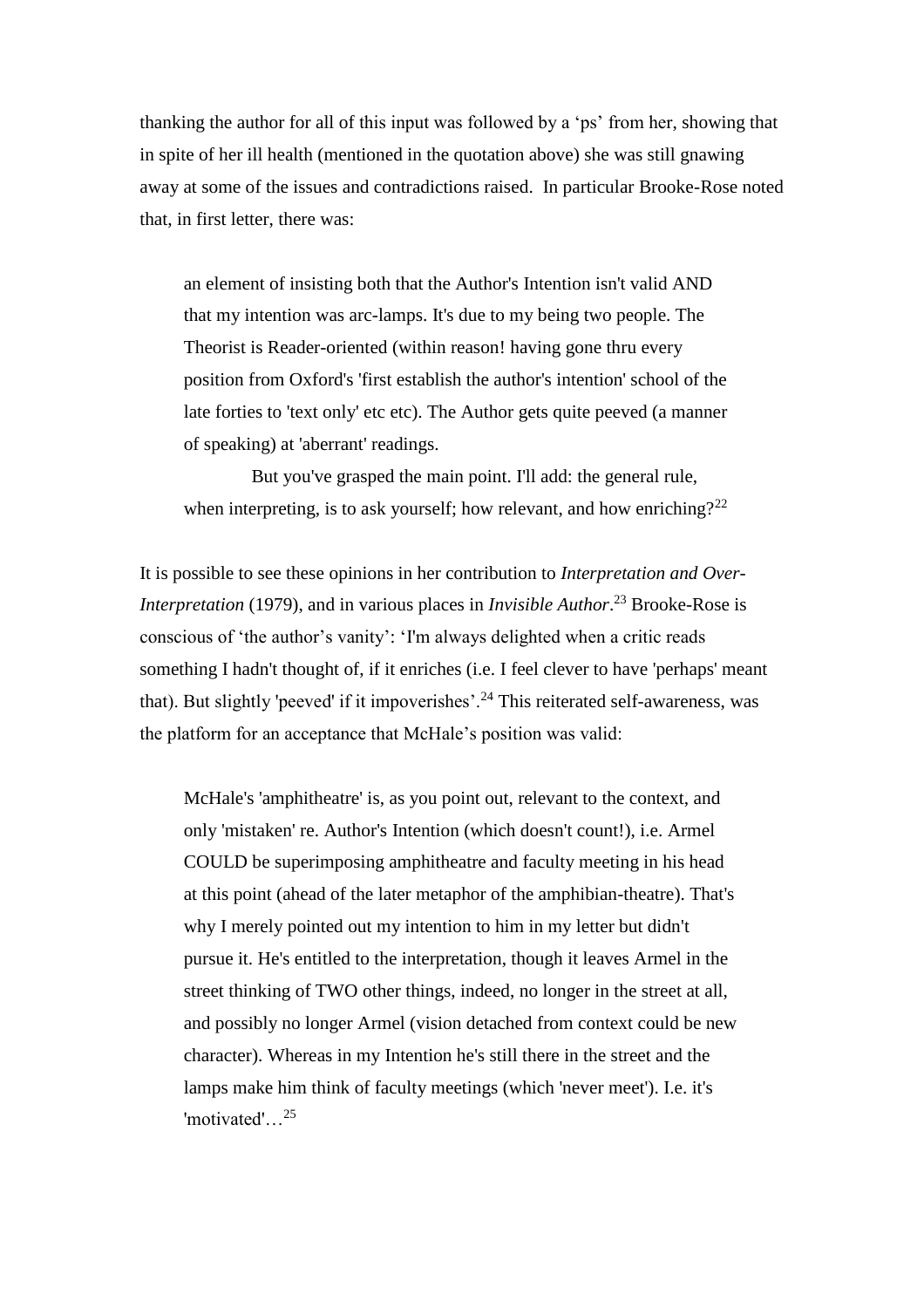thanking the author for all of this input was followed by a 'ps' from her, showing that in spite of her ill health (mentioned in the quotation above) she was still gnawing away at some of the issues and contradictions raised. In particular Brooke-Rose noted that, in first letter, there was:

an element of insisting both that the Author's Intention isn't valid AND that my intention was arc-lamps. It's due to my being two people. The Theorist is Reader-oriented (within reason! having gone thru every position from Oxford's 'first establish the author's intention' school of the late forties to 'text only' etc etc). The Author gets quite peeved (a manner of speaking) at 'aberrant' readings.

But you've grasped the main point. I'll add: the general rule, when interpreting, is to ask yourself; how relevant, and how enriching?<sup>22</sup>

It is possible to see these opinions in her contribution to *Interpretation and Over-Interpretation* (1979), and in various places in *Invisible Author*. <sup>23</sup> Brooke-Rose is conscious of 'the author's vanity': 'I'm always delighted when a critic reads something I hadn't thought of, if it enriches (i.e. I feel clever to have 'perhaps' meant that). But slightly 'peeved' if it impoverishes'.<sup>24</sup> This reiterated self-awareness, was the platform for an acceptance that McHale's position was valid:

McHale's 'amphitheatre' is, as you point out, relevant to the context, and only 'mistaken' re. Author's Intention (which doesn't count!), i.e. Armel COULD be superimposing amphitheatre and faculty meeting in his head at this point (ahead of the later metaphor of the amphibian-theatre). That's why I merely pointed out my intention to him in my letter but didn't pursue it. He's entitled to the interpretation, though it leaves Armel in the street thinking of TWO other things, indeed, no longer in the street at all, and possibly no longer Armel (vision detached from context could be new character). Whereas in my Intention he's still there in the street and the lamps make him think of faculty meetings (which 'never meet'). I.e. it's 'motivated'…<sup>25</sup>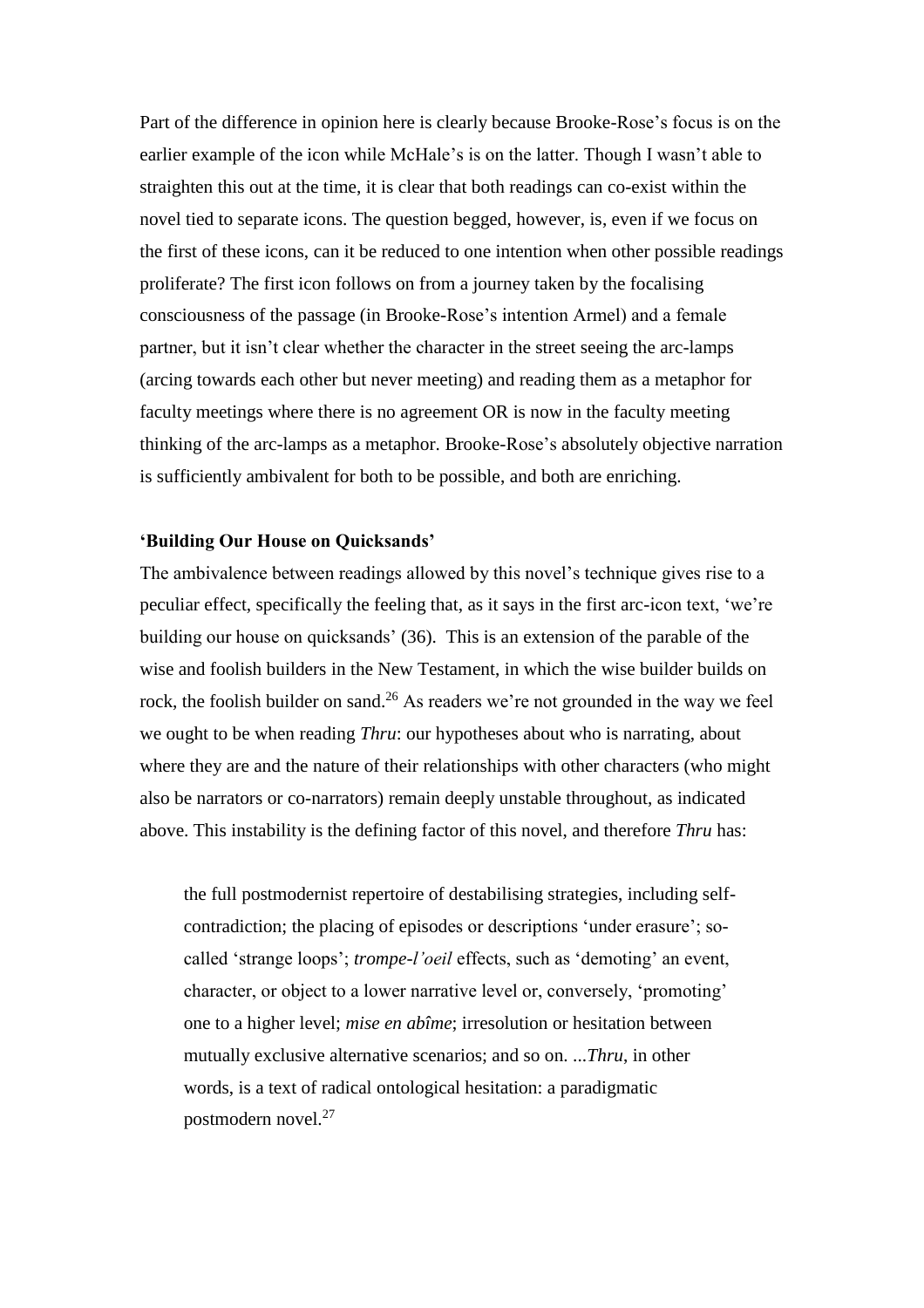Part of the difference in opinion here is clearly because Brooke-Rose's focus is on the earlier example of the icon while McHale's is on the latter. Though I wasn't able to straighten this out at the time, it is clear that both readings can co-exist within the novel tied to separate icons. The question begged, however, is, even if we focus on the first of these icons, can it be reduced to one intention when other possible readings proliferate? The first icon follows on from a journey taken by the focalising consciousness of the passage (in Brooke-Rose's intention Armel) and a female partner, but it isn't clear whether the character in the street seeing the arc-lamps (arcing towards each other but never meeting) and reading them as a metaphor for faculty meetings where there is no agreement OR is now in the faculty meeting thinking of the arc-lamps as a metaphor. Brooke-Rose's absolutely objective narration is sufficiently ambivalent for both to be possible, and both are enriching.

#### **'Building Our House on Quicksands'**

The ambivalence between readings allowed by this novel's technique gives rise to a peculiar effect, specifically the feeling that, as it says in the first arc-icon text, 'we're building our house on quicksands' (36). This is an extension of the parable of the wise and foolish builders in the New Testament, in which the wise builder builds on rock, the foolish builder on sand.<sup>26</sup> As readers we're not grounded in the way we feel we ought to be when reading *Thru*: our hypotheses about who is narrating, about where they are and the nature of their relationships with other characters (who might also be narrators or co-narrators) remain deeply unstable throughout, as indicated above. This instability is the defining factor of this novel, and therefore *Thru* has:

the full postmodernist repertoire of destabilising strategies, including selfcontradiction; the placing of episodes or descriptions 'under erasure'; socalled 'strange loops'; *trompe-l'oeil* effects, such as 'demoting' an event, character, or object to a lower narrative level or, conversely, 'promoting' one to a higher level; *mise en abîme*; irresolution or hesitation between mutually exclusive alternative scenarios; and so on. ...*Thru*, in other words, is a text of radical ontological hesitation: a paradigmatic postmodern novel.<sup>27</sup>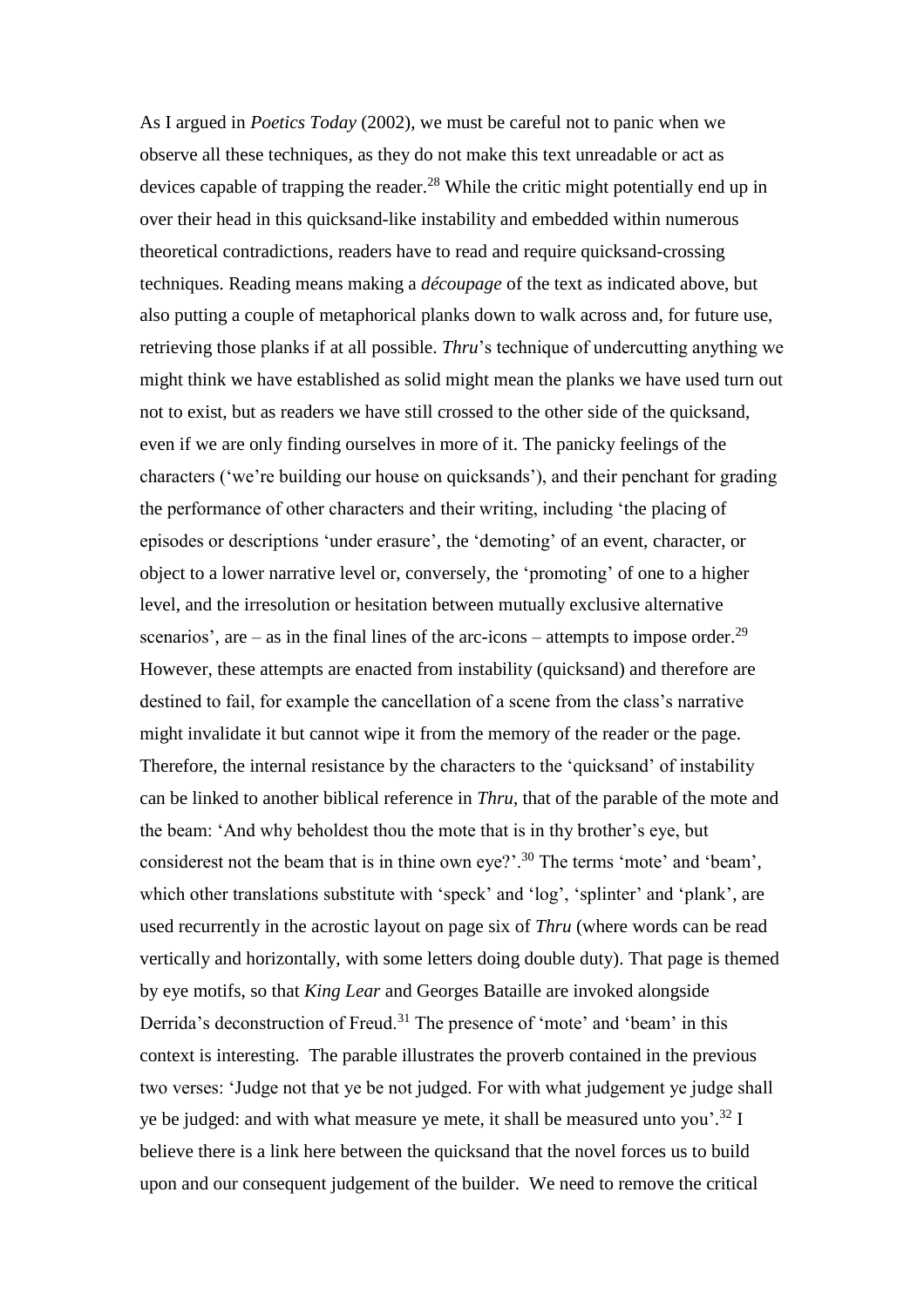As I argued in *Poetics Today* (2002), we must be careful not to panic when we observe all these techniques, as they do not make this text unreadable or act as devices capable of trapping the reader.<sup>28</sup> While the critic might potentially end up in over their head in this quicksand-like instability and embedded within numerous theoretical contradictions, readers have to read and require quicksand-crossing techniques. Reading means making a *découpage* of the text as indicated above, but also putting a couple of metaphorical planks down to walk across and, for future use, retrieving those planks if at all possible. *Thru*'s technique of undercutting anything we might think we have established as solid might mean the planks we have used turn out not to exist, but as readers we have still crossed to the other side of the quicksand, even if we are only finding ourselves in more of it. The panicky feelings of the characters ('we're building our house on quicksands'), and their penchant for grading the performance of other characters and their writing, including 'the placing of episodes or descriptions 'under erasure', the 'demoting' of an event, character, or object to a lower narrative level or, conversely, the 'promoting' of one to a higher level, and the irresolution or hesitation between mutually exclusive alternative scenarios', are  $-$  as in the final lines of the arc-icons  $-$  attempts to impose order.<sup>29</sup> However, these attempts are enacted from instability (quicksand) and therefore are destined to fail, for example the cancellation of a scene from the class's narrative might invalidate it but cannot wipe it from the memory of the reader or the page. Therefore, the internal resistance by the characters to the 'quicksand' of instability can be linked to another biblical reference in *Thru*, that of the parable of the mote and the beam: 'And why beholdest thou the mote that is in thy brother's eye, but considerest not the beam that is in thine own eye?'.<sup>30</sup> The terms 'mote' and 'beam', which other translations substitute with 'speck' and 'log', 'splinter' and 'plank', are used recurrently in the acrostic layout on page six of *Thru* (where words can be read vertically and horizontally, with some letters doing double duty). That page is themed by eye motifs, so that *King Lear* and Georges Bataille are invoked alongside Derrida's deconstruction of Freud.<sup>31</sup> The presence of 'mote' and 'beam' in this context is interesting. The parable illustrates the proverb contained in the previous two verses: 'Judge not that ye be not judged. For with what judgement ye judge shall ye be judged: and with what measure ye mete, it shall be measured unto you'.<sup>32</sup> I believe there is a link here between the quicksand that the novel forces us to build upon and our consequent judgement of the builder. We need to remove the critical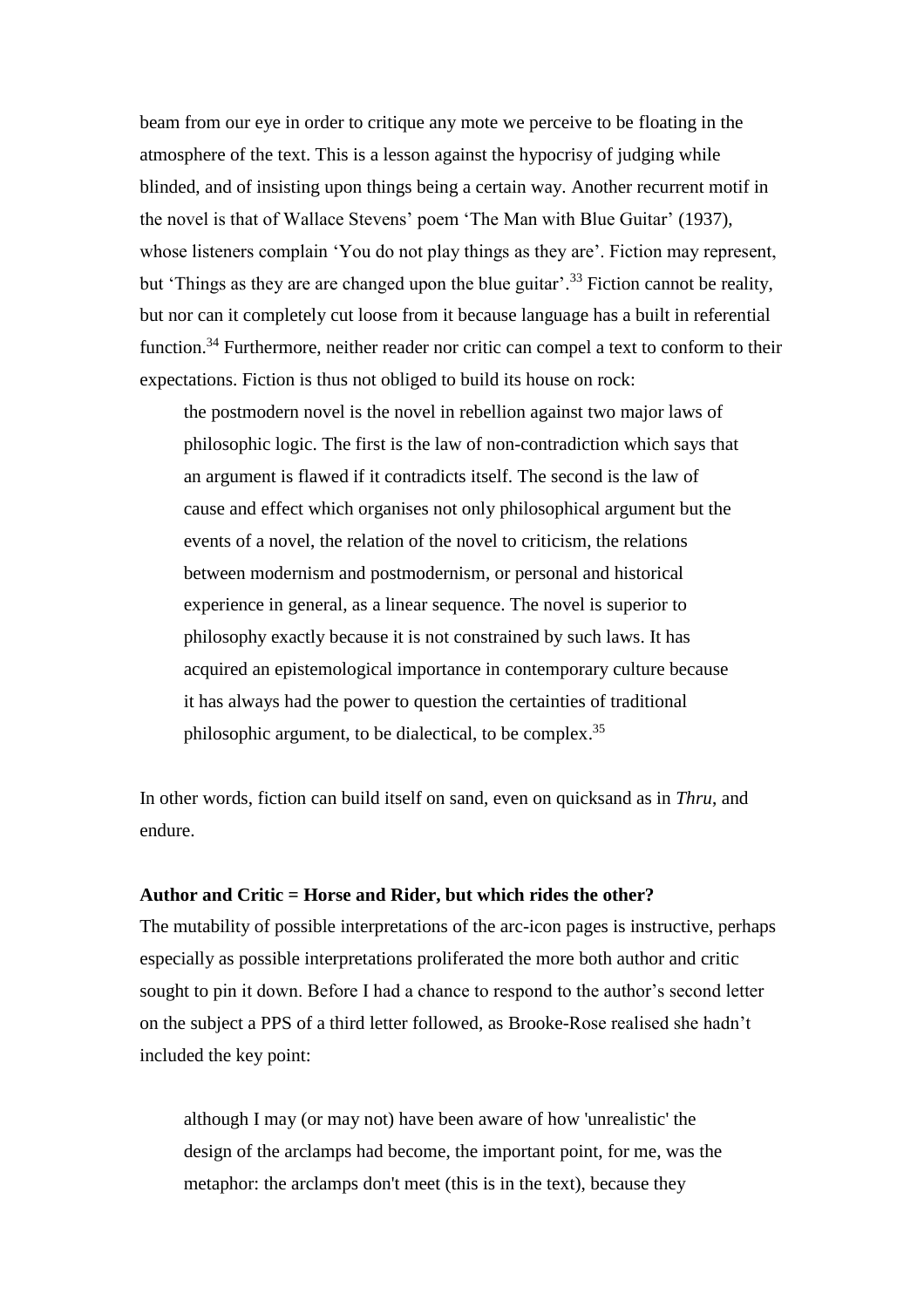beam from our eye in order to critique any mote we perceive to be floating in the atmosphere of the text. This is a lesson against the hypocrisy of judging while blinded, and of insisting upon things being a certain way. Another recurrent motif in the novel is that of Wallace Stevens' poem 'The Man with Blue Guitar' (1937), whose listeners complain 'You do not play things as they are'. Fiction may represent, but 'Things as they are are changed upon the blue guitar'.<sup>33</sup> Fiction cannot be reality, but nor can it completely cut loose from it because language has a built in referential function.<sup>34</sup> Furthermore, neither reader nor critic can compel a text to conform to their expectations. Fiction is thus not obliged to build its house on rock:

the postmodern novel is the novel in rebellion against two major laws of philosophic logic. The first is the law of non-contradiction which says that an argument is flawed if it contradicts itself. The second is the law of cause and effect which organises not only philosophical argument but the events of a novel, the relation of the novel to criticism, the relations between modernism and postmodernism, or personal and historical experience in general, as a linear sequence. The novel is superior to philosophy exactly because it is not constrained by such laws. It has acquired an epistemological importance in contemporary culture because it has always had the power to question the certainties of traditional philosophic argument, to be dialectical, to be complex.<sup>35</sup>

In other words, fiction can build itself on sand, even on quicksand as in *Thru*, and endure.

# **Author and Critic = Horse and Rider, but which rides the other?**

The mutability of possible interpretations of the arc-icon pages is instructive, perhaps especially as possible interpretations proliferated the more both author and critic sought to pin it down. Before I had a chance to respond to the author's second letter on the subject a PPS of a third letter followed, as Brooke-Rose realised she hadn't included the key point:

although I may (or may not) have been aware of how 'unrealistic' the design of the arclamps had become, the important point, for me, was the metaphor: the arclamps don't meet (this is in the text), because they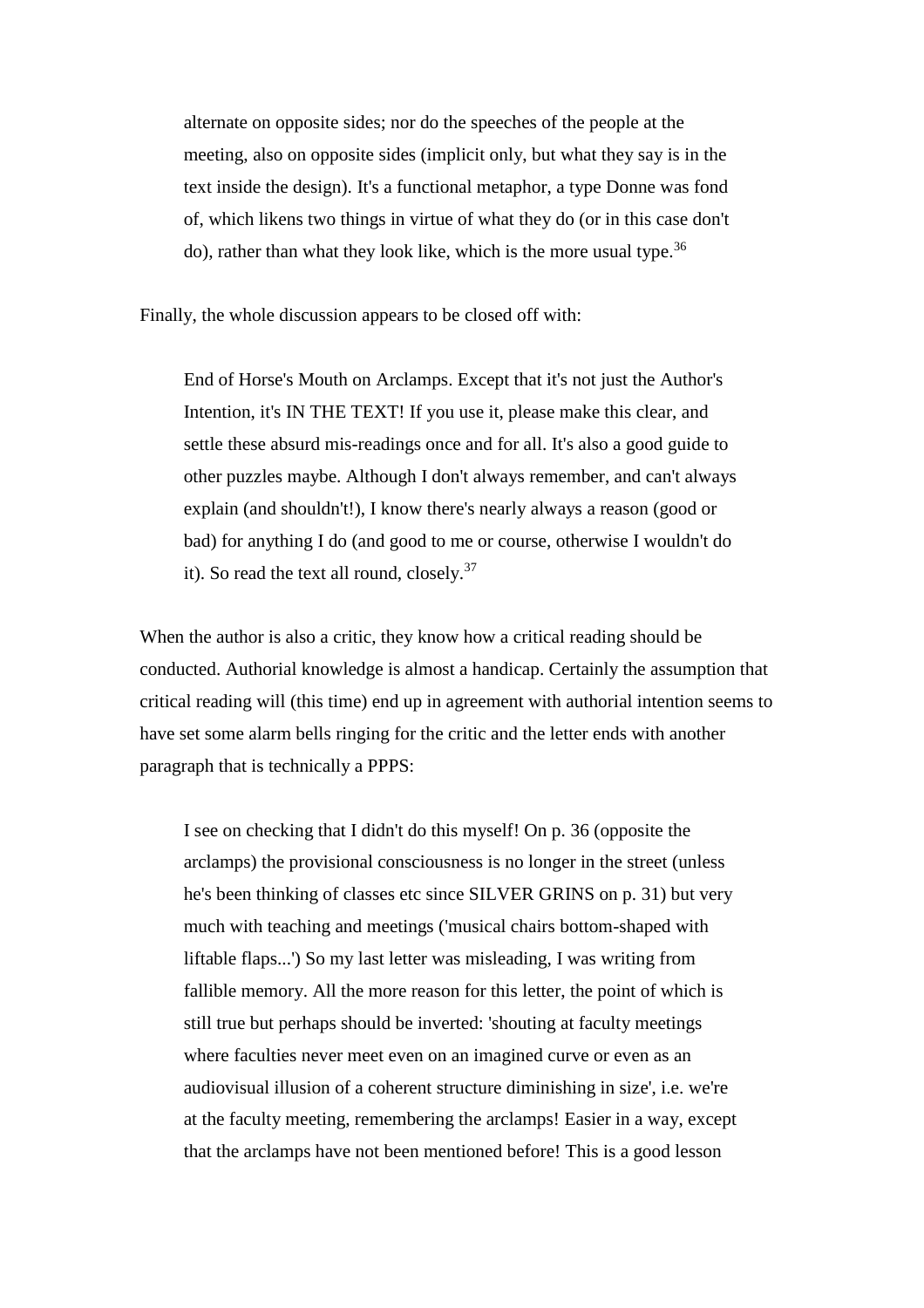alternate on opposite sides; nor do the speeches of the people at the meeting, also on opposite sides (implicit only, but what they say is in the text inside the design). It's a functional metaphor, a type Donne was fond of, which likens two things in virtue of what they do (or in this case don't do), rather than what they look like, which is the more usual type.<sup>36</sup>

Finally, the whole discussion appears to be closed off with:

End of Horse's Mouth on Arclamps. Except that it's not just the Author's Intention, it's IN THE TEXT! If you use it, please make this clear, and settle these absurd mis-readings once and for all. It's also a good guide to other puzzles maybe. Although I don't always remember, and can't always explain (and shouldn't!), I know there's nearly always a reason (good or bad) for anything I do (and good to me or course, otherwise I wouldn't do it). So read the text all round, closely. $37$ 

When the author is also a critic, they know how a critical reading should be conducted. Authorial knowledge is almost a handicap. Certainly the assumption that critical reading will (this time) end up in agreement with authorial intention seems to have set some alarm bells ringing for the critic and the letter ends with another paragraph that is technically a PPPS:

I see on checking that I didn't do this myself! On p. 36 (opposite the arclamps) the provisional consciousness is no longer in the street (unless he's been thinking of classes etc since SILVER GRINS on p. 31) but very much with teaching and meetings ('musical chairs bottom-shaped with liftable flaps...') So my last letter was misleading, I was writing from fallible memory. All the more reason for this letter, the point of which is still true but perhaps should be inverted: 'shouting at faculty meetings where faculties never meet even on an imagined curve or even as an audiovisual illusion of a coherent structure diminishing in size', i.e. we're at the faculty meeting, remembering the arclamps! Easier in a way, except that the arclamps have not been mentioned before! This is a good lesson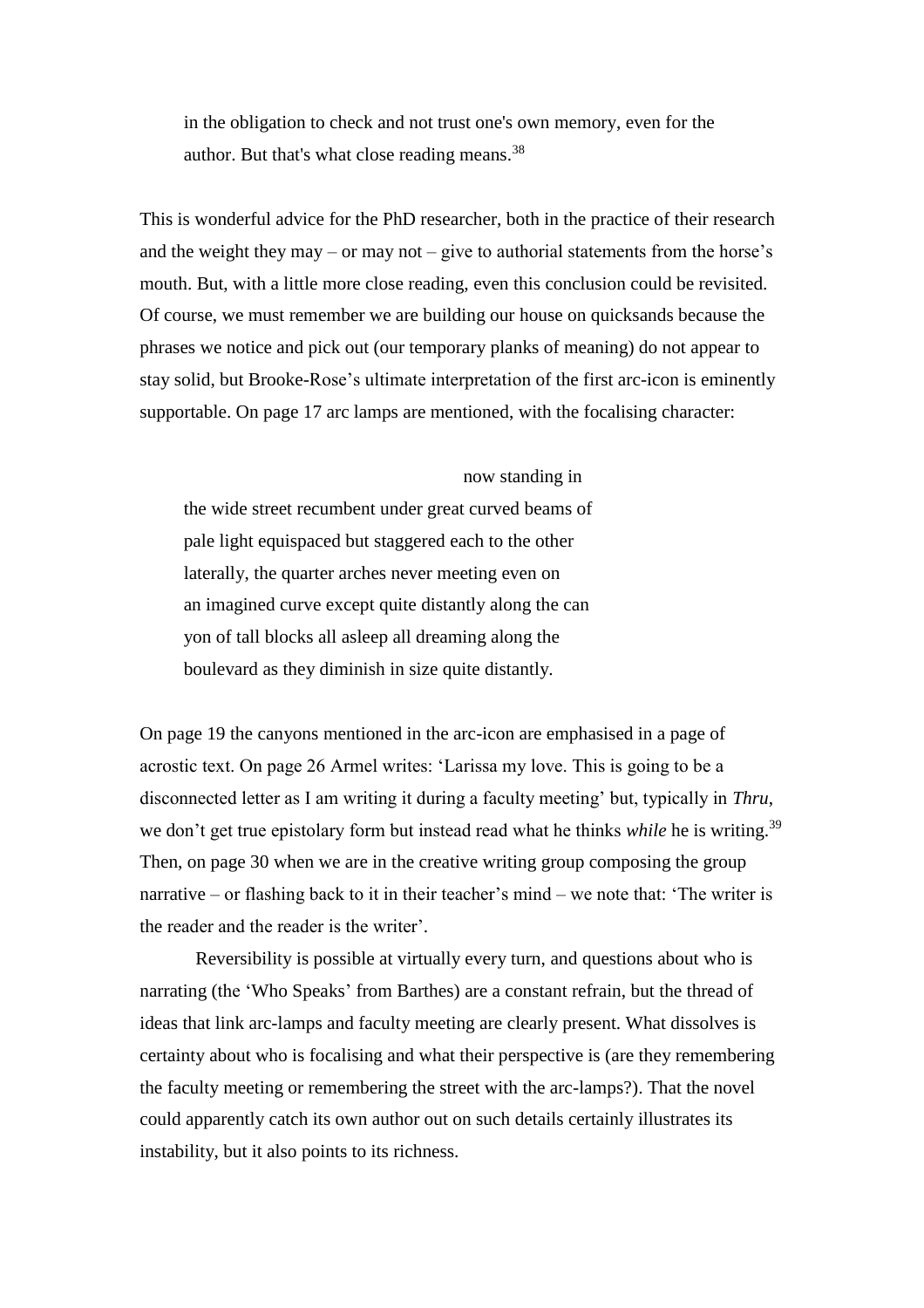in the obligation to check and not trust one's own memory, even for the author. But that's what close reading means.<sup>38</sup>

This is wonderful advice for the PhD researcher, both in the practice of their research and the weight they may – or may not – give to authorial statements from the horse's mouth. But, with a little more close reading, even this conclusion could be revisited. Of course, we must remember we are building our house on quicksands because the phrases we notice and pick out (our temporary planks of meaning) do not appear to stay solid, but Brooke-Rose's ultimate interpretation of the first arc-icon is eminently supportable. On page 17 arc lamps are mentioned, with the focalising character:

now standing in

the wide street recumbent under great curved beams of pale light equispaced but staggered each to the other laterally, the quarter arches never meeting even on an imagined curve except quite distantly along the can yon of tall blocks all asleep all dreaming along the boulevard as they diminish in size quite distantly.

On page 19 the canyons mentioned in the arc-icon are emphasised in a page of acrostic text. On page 26 Armel writes: 'Larissa my love. This is going to be a disconnected letter as I am writing it during a faculty meeting' but, typically in *Thru*, we don't get true epistolary form but instead read what he thinks *while* he is writing.<sup>39</sup> Then, on page 30 when we are in the creative writing group composing the group narrative – or flashing back to it in their teacher's mind – we note that: 'The writer is the reader and the reader is the writer'.

Reversibility is possible at virtually every turn, and questions about who is narrating (the 'Who Speaks' from Barthes) are a constant refrain, but the thread of ideas that link arc-lamps and faculty meeting are clearly present. What dissolves is certainty about who is focalising and what their perspective is (are they remembering the faculty meeting or remembering the street with the arc-lamps?). That the novel could apparently catch its own author out on such details certainly illustrates its instability, but it also points to its richness.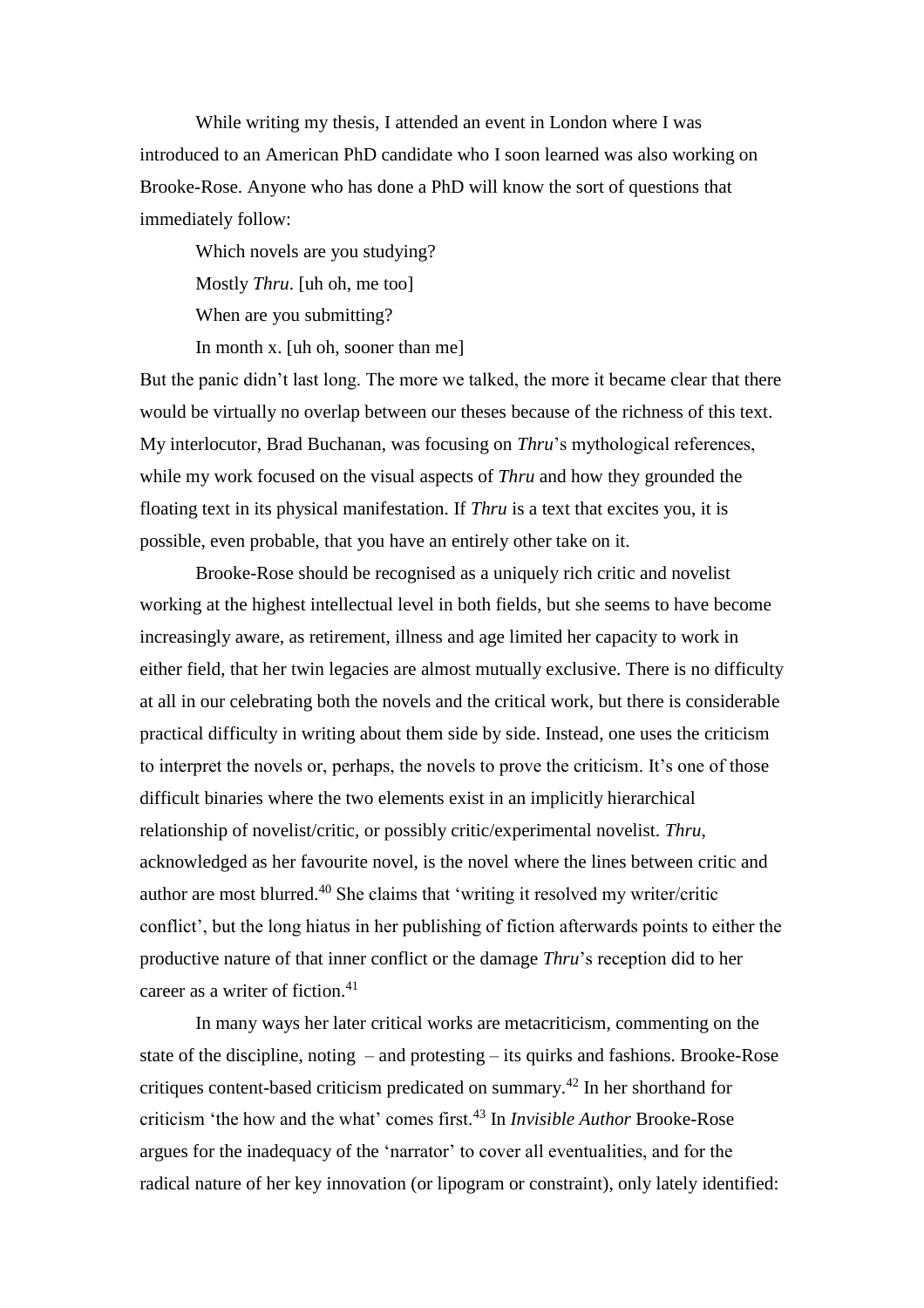While writing my thesis, I attended an event in London where I was introduced to an American PhD candidate who I soon learned was also working on Brooke-Rose. Anyone who has done a PhD will know the sort of questions that immediately follow:

Which novels are you studying? Mostly *Thru*. [uh oh, me too] When are you submitting?

In month x. [uh oh, sooner than me]

But the panic didn't last long. The more we talked, the more it became clear that there would be virtually no overlap between our theses because of the richness of this text. My interlocutor, Brad Buchanan, was focusing on *Thru*'s mythological references, while my work focused on the visual aspects of *Thru* and how they grounded the floating text in its physical manifestation. If *Thru* is a text that excites you, it is possible, even probable, that you have an entirely other take on it.

Brooke-Rose should be recognised as a uniquely rich critic and novelist working at the highest intellectual level in both fields, but she seems to have become increasingly aware, as retirement, illness and age limited her capacity to work in either field, that her twin legacies are almost mutually exclusive. There is no difficulty at all in our celebrating both the novels and the critical work, but there is considerable practical difficulty in writing about them side by side. Instead, one uses the criticism to interpret the novels or, perhaps, the novels to prove the criticism. It's one of those difficult binaries where the two elements exist in an implicitly hierarchical relationship of novelist/critic, or possibly critic/experimental novelist. *Thru*, acknowledged as her favourite novel, is the novel where the lines between critic and author are most blurred.<sup>40</sup> She claims that 'writing it resolved my writer/critic conflict', but the long hiatus in her publishing of fiction afterwards points to either the productive nature of that inner conflict or the damage *Thru*'s reception did to her career as a writer of fiction.<sup>41</sup>

In many ways her later critical works are metacriticism, commenting on the state of the discipline, noting – and protesting – its quirks and fashions. Brooke-Rose critiques content-based criticism predicated on summary. <sup>42</sup> In her shorthand for criticism 'the how and the what' comes first.<sup>43</sup> In *Invisible Author* Brooke-Rose argues for the inadequacy of the 'narrator' to cover all eventualities, and for the radical nature of her key innovation (or lipogram or constraint), only lately identified: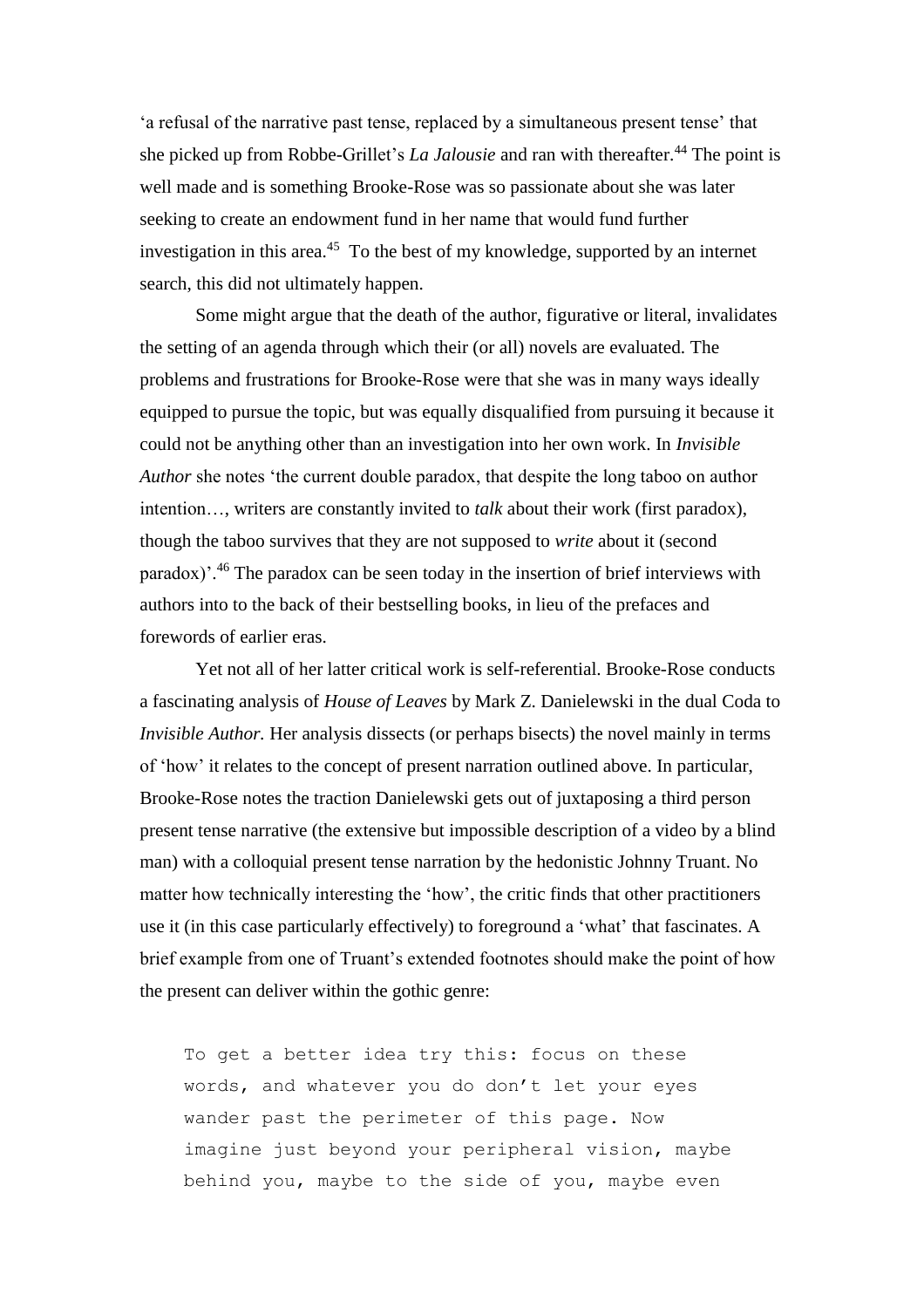'a refusal of the narrative past tense, replaced by a simultaneous present tense' that she picked up from Robbe-Grillet's *La Jalousie* and ran with thereafter.<sup>44</sup> The point is well made and is something Brooke-Rose was so passionate about she was later seeking to create an endowment fund in her name that would fund further investigation in this area.<sup>45</sup> To the best of my knowledge, supported by an internet search, this did not ultimately happen.

Some might argue that the death of the author, figurative or literal, invalidates the setting of an agenda through which their (or all) novels are evaluated. The problems and frustrations for Brooke-Rose were that she was in many ways ideally equipped to pursue the topic, but was equally disqualified from pursuing it because it could not be anything other than an investigation into her own work. In *Invisible Author* she notes 'the current double paradox, that despite the long taboo on author intention…, writers are constantly invited to *talk* about their work (first paradox), though the taboo survives that they are not supposed to *write* about it (second paradox)'.<sup>46</sup> The paradox can be seen today in the insertion of brief interviews with authors into to the back of their bestselling books, in lieu of the prefaces and forewords of earlier eras.

Yet not all of her latter critical work is self-referential. Brooke-Rose conducts a fascinating analysis of *House of Leaves* by Mark Z. Danielewski in the dual Coda to *Invisible Author.* Her analysis dissects (or perhaps bisects) the novel mainly in terms of 'how' it relates to the concept of present narration outlined above. In particular, Brooke-Rose notes the traction Danielewski gets out of juxtaposing a third person present tense narrative (the extensive but impossible description of a video by a blind man) with a colloquial present tense narration by the hedonistic Johnny Truant. No matter how technically interesting the 'how', the critic finds that other practitioners use it (in this case particularly effectively) to foreground a 'what' that fascinates. A brief example from one of Truant's extended footnotes should make the point of how the present can deliver within the gothic genre:

To get a better idea try this: focus on these words, and whatever you do don't let your eyes wander past the perimeter of this page. Now imagine just beyond your peripheral vision, maybe behind you, maybe to the side of you, maybe even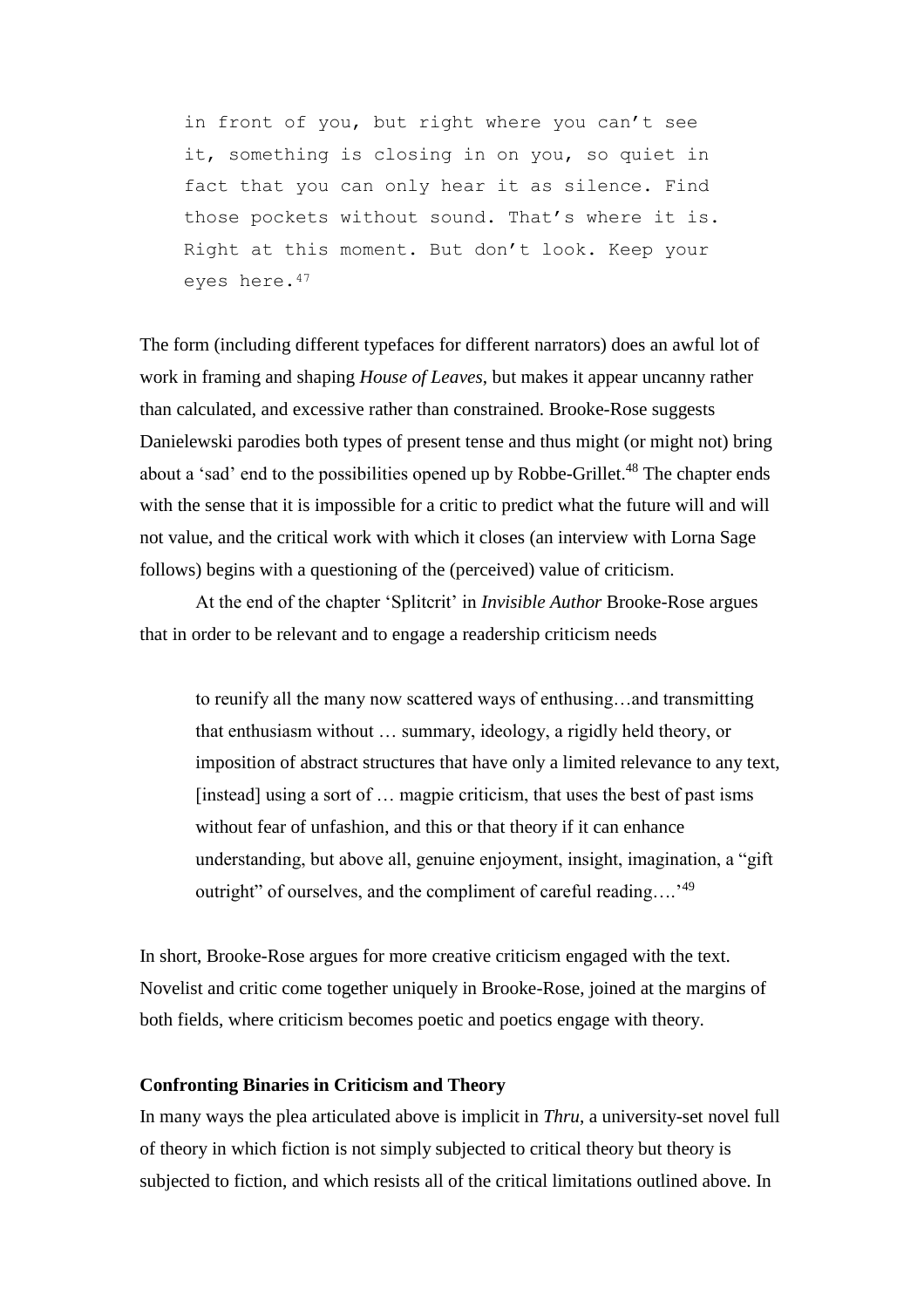in front of you, but right where you can't see it, something is closing in on you, so quiet in fact that you can only hear it as silence. Find those pockets without sound. That's where it is. Right at this moment. But don't look. Keep your eyes here.<sup>47</sup>

The form (including different typefaces for different narrators) does an awful lot of work in framing and shaping *House of Leaves*, but makes it appear uncanny rather than calculated, and excessive rather than constrained. Brooke-Rose suggests Danielewski parodies both types of present tense and thus might (or might not) bring about a 'sad' end to the possibilities opened up by Robbe-Grillet.<sup>48</sup> The chapter ends with the sense that it is impossible for a critic to predict what the future will and will not value, and the critical work with which it closes (an interview with Lorna Sage follows) begins with a questioning of the (perceived) value of criticism.

At the end of the chapter 'Splitcrit' in *Invisible Author* Brooke-Rose argues that in order to be relevant and to engage a readership criticism needs

to reunify all the many now scattered ways of enthusing…and transmitting that enthusiasm without … summary, ideology, a rigidly held theory, or imposition of abstract structures that have only a limited relevance to any text, [instead] using a sort of … magpie criticism, that uses the best of past isms without fear of unfashion, and this or that theory if it can enhance understanding, but above all, genuine enjoyment, insight, imagination, a "gift outright" of ourselves, and the compliment of careful reading….'<sup>49</sup>

In short, Brooke-Rose argues for more creative criticism engaged with the text. Novelist and critic come together uniquely in Brooke-Rose, joined at the margins of both fields, where criticism becomes poetic and poetics engage with theory.

# **Confronting Binaries in Criticism and Theory**

In many ways the plea articulated above is implicit in *Thru*, a university-set novel full of theory in which fiction is not simply subjected to critical theory but theory is subjected to fiction, and which resists all of the critical limitations outlined above. In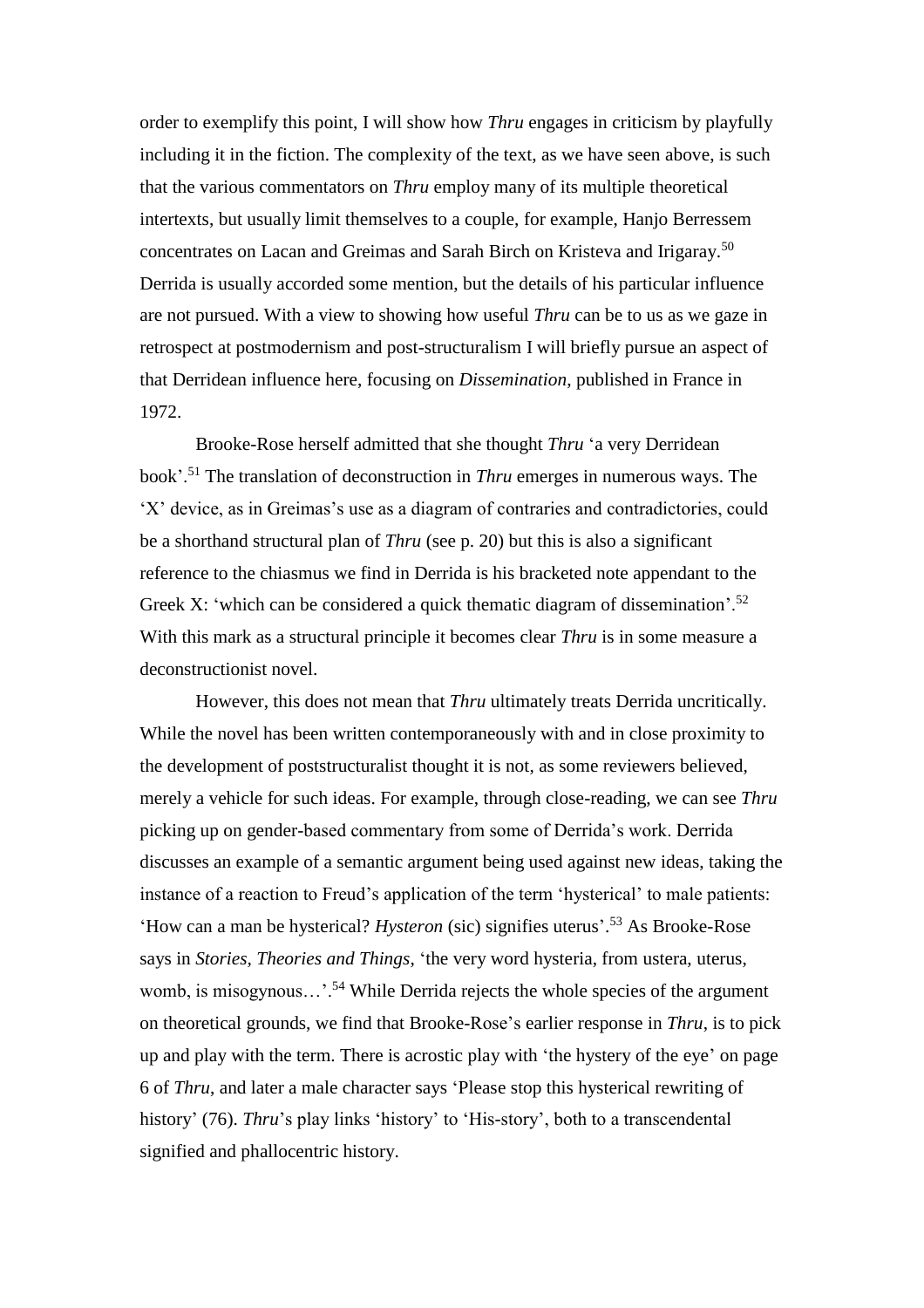order to exemplify this point, I will show how *Thru* engages in criticism by playfully including it in the fiction. The complexity of the text, as we have seen above, is such that the various commentators on *Thru* employ many of its multiple theoretical intertexts, but usually limit themselves to a couple, for example, Hanjo Berressem concentrates on Lacan and Greimas and Sarah Birch on Kristeva and Irigaray.<sup>50</sup> Derrida is usually accorded some mention, but the details of his particular influence are not pursued. With a view to showing how useful *Thru* can be to us as we gaze in retrospect at postmodernism and post-structuralism I will briefly pursue an aspect of that Derridean influence here, focusing on *Dissemination*, published in France in 1972.

Brooke-Rose herself admitted that she thought *Thru* 'a very Derridean book'.<sup>51</sup> The translation of deconstruction in *Thru* emerges in numerous ways. The 'X' device, as in Greimas's use as a diagram of contraries and contradictories, could be a shorthand structural plan of *Thru* (see p. 20) but this is also a significant reference to the chiasmus we find in Derrida is his bracketed note appendant to the Greek X: 'which can be considered a quick thematic diagram of dissemination'.<sup>52</sup> With this mark as a structural principle it becomes clear *Thru* is in some measure a deconstructionist novel.

However, this does not mean that *Thru* ultimately treats Derrida uncritically. While the novel has been written contemporaneously with and in close proximity to the development of poststructuralist thought it is not, as some reviewers believed, merely a vehicle for such ideas. For example, through close-reading, we can see *Thru* picking up on gender-based commentary from some of Derrida's work. Derrida discusses an example of a semantic argument being used against new ideas, taking the instance of a reaction to Freud's application of the term 'hysterical' to male patients: 'How can a man be hysterical? *Hysteron* (sic) signifies uterus'. <sup>53</sup> As Brooke-Rose says in *Stories, Theories and Things*, 'the very word hysteria, from ustera, uterus, womb, is misogynous...'.<sup>54</sup> While Derrida rejects the whole species of the argument on theoretical grounds, we find that Brooke-Rose's earlier response in *Thru*, is to pick up and play with the term. There is acrostic play with 'the hystery of the eye' on page 6 of *Thru*, and later a male character says 'Please stop this hysterical rewriting of history' (76). *Thru's* play links 'history' to 'His-story', both to a transcendental signified and phallocentric history.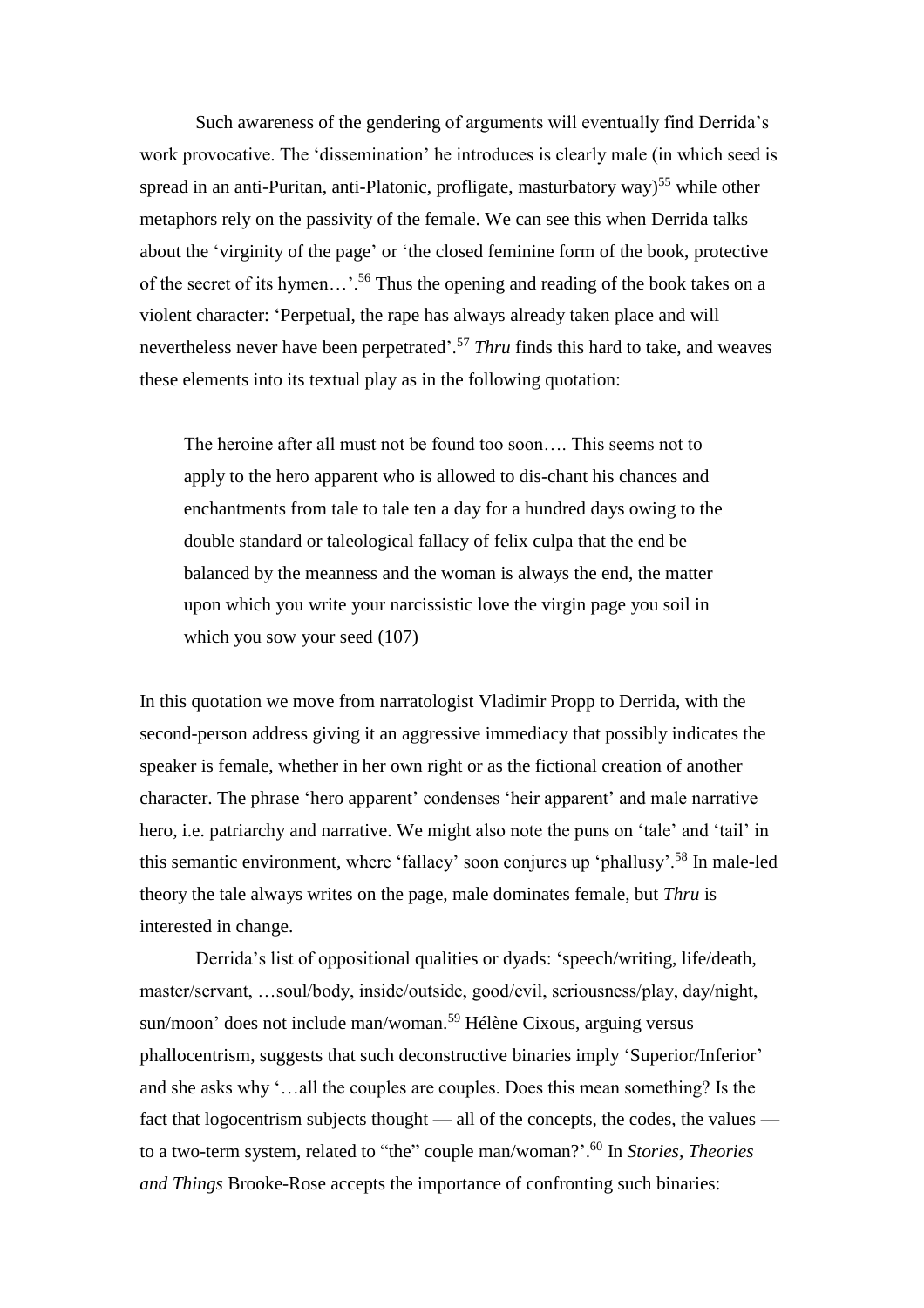Such awareness of the gendering of arguments will eventually find Derrida's work provocative. The 'dissemination' he introduces is clearly male (in which seed is spread in an anti-Puritan, anti-Platonic, profligate, masturbatory way) <sup>55</sup> while other metaphors rely on the passivity of the female. We can see this when Derrida talks about the 'virginity of the page' or 'the closed feminine form of the book, protective of the secret of its hymen…'.<sup>56</sup> Thus the opening and reading of the book takes on a violent character: 'Perpetual, the rape has always already taken place and will nevertheless never have been perpetrated'.<sup>57</sup> *Thru* finds this hard to take, and weaves these elements into its textual play as in the following quotation:

The heroine after all must not be found too soon…. This seems not to apply to the hero apparent who is allowed to dis-chant his chances and enchantments from tale to tale ten a day for a hundred days owing to the double standard or taleological fallacy of felix culpa that the end be balanced by the meanness and the woman is always the end, the matter upon which you write your narcissistic love the virgin page you soil in which you sow your seed (107)

In this quotation we move from narratologist Vladimir Propp to Derrida, with the second-person address giving it an aggressive immediacy that possibly indicates the speaker is female, whether in her own right or as the fictional creation of another character. The phrase 'hero apparent' condenses 'heir apparent' and male narrative hero, i.e. patriarchy and narrative. We might also note the puns on 'tale' and 'tail' in this semantic environment, where 'fallacy' soon conjures up 'phallusy'.<sup>58</sup> In male-led theory the tale always writes on the page, male dominates female, but *Thru* is interested in change.

Derrida's list of oppositional qualities or dyads: 'speech/writing, life/death, master/servant, …soul/body, inside/outside, good/evil, seriousness/play, day/night, sun/moon' does not include man/woman.<sup>59</sup> Hélène Cixous, arguing versus phallocentrism, suggests that such deconstructive binaries imply 'Superior/Inferior' and she asks why '…all the couples are couples. Does this mean something? Is the fact that logocentrism subjects thought — all of the concepts, the codes, the values to a two-term system, related to "the" couple man/woman?'.<sup>60</sup> In *Stories, Theories and Things* Brooke-Rose accepts the importance of confronting such binaries: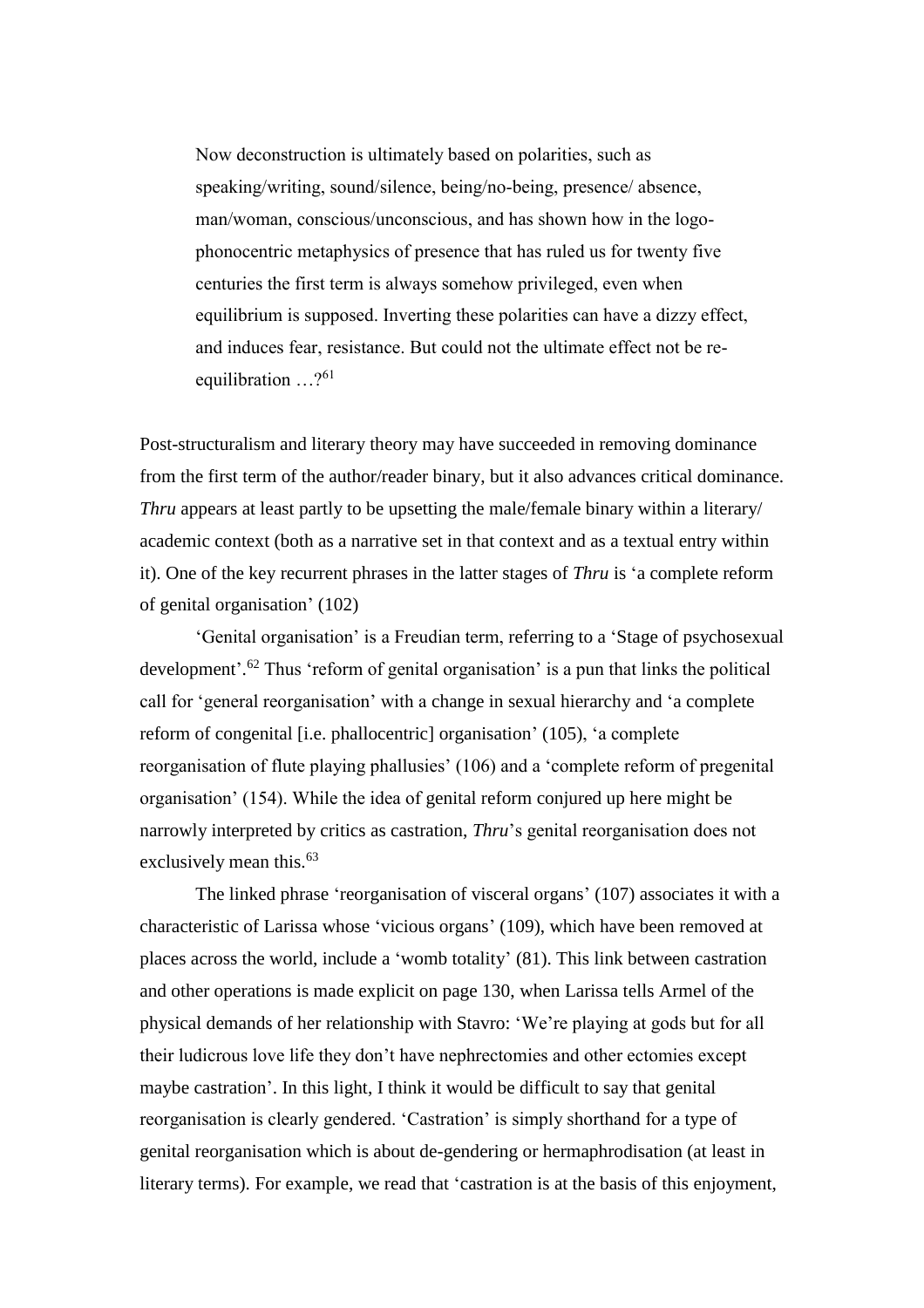Now deconstruction is ultimately based on polarities, such as speaking/writing, sound/silence, being/no-being, presence/ absence, man/woman, conscious/unconscious, and has shown how in the logophonocentric metaphysics of presence that has ruled us for twenty five centuries the first term is always somehow privileged, even when equilibrium is supposed. Inverting these polarities can have a dizzy effect, and induces fear, resistance. But could not the ultimate effect not be reequilibration ...?<sup>61</sup>

Post-structuralism and literary theory may have succeeded in removing dominance from the first term of the author/reader binary, but it also advances critical dominance. *Thru* appears at least partly to be upsetting the male/female binary within a literary/ academic context (both as a narrative set in that context and as a textual entry within it). One of the key recurrent phrases in the latter stages of *Thru* is 'a complete reform of genital organisation' (102)

'Genital organisation' is a Freudian term, referring to a 'Stage of psychosexual development'.<sup>62</sup> Thus 'reform of genital organisation' is a pun that links the political call for 'general reorganisation' with a change in sexual hierarchy and 'a complete reform of congenital [i.e. phallocentric] organisation' (105), 'a complete reorganisation of flute playing phallusies' (106) and a 'complete reform of pregenital organisation' (154). While the idea of genital reform conjured up here might be narrowly interpreted by critics as castration, *Thru*'s genital reorganisation does not exclusively mean this.<sup>63</sup>

The linked phrase 'reorganisation of visceral organs' (107) associates it with a characteristic of Larissa whose 'vicious organs' (109), which have been removed at places across the world, include a 'womb totality' (81). This link between castration and other operations is made explicit on page 130, when Larissa tells Armel of the physical demands of her relationship with Stavro: 'We're playing at gods but for all their ludicrous love life they don't have nephrectomies and other ectomies except maybe castration'. In this light, I think it would be difficult to say that genital reorganisation is clearly gendered. 'Castration' is simply shorthand for a type of genital reorganisation which is about de-gendering or hermaphrodisation (at least in literary terms). For example, we read that 'castration is at the basis of this enjoyment,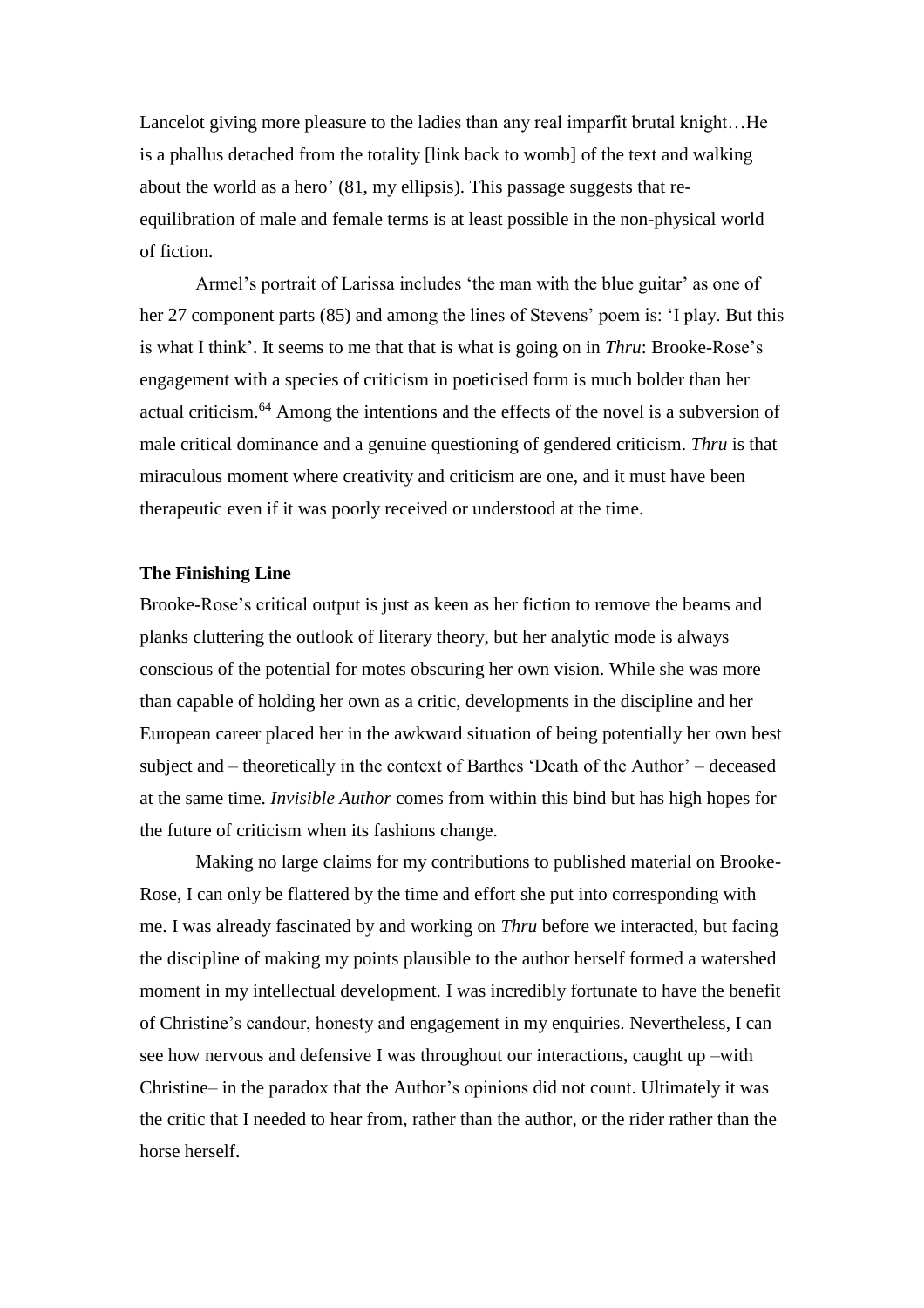Lancelot giving more pleasure to the ladies than any real imparfit brutal knight…He is a phallus detached from the totality [link back to womb] of the text and walking about the world as a hero' (81, my ellipsis). This passage suggests that reequilibration of male and female terms is at least possible in the non-physical world of fiction.

Armel's portrait of Larissa includes 'the man with the blue guitar' as one of her 27 component parts (85) and among the lines of Stevens' poem is: 'I play. But this is what I think'. It seems to me that that is what is going on in *Thru*: Brooke-Rose's engagement with a species of criticism in poeticised form is much bolder than her actual criticism.<sup>64</sup> Among the intentions and the effects of the novel is a subversion of male critical dominance and a genuine questioning of gendered criticism. *Thru* is that miraculous moment where creativity and criticism are one, and it must have been therapeutic even if it was poorly received or understood at the time.

#### **The Finishing Line**

Brooke-Rose's critical output is just as keen as her fiction to remove the beams and planks cluttering the outlook of literary theory, but her analytic mode is always conscious of the potential for motes obscuring her own vision. While she was more than capable of holding her own as a critic, developments in the discipline and her European career placed her in the awkward situation of being potentially her own best subject and – theoretically in the context of Barthes 'Death of the Author' – deceased at the same time. *Invisible Author* comes from within this bind but has high hopes for the future of criticism when its fashions change.

Making no large claims for my contributions to published material on Brooke-Rose, I can only be flattered by the time and effort she put into corresponding with me. I was already fascinated by and working on *Thru* before we interacted, but facing the discipline of making my points plausible to the author herself formed a watershed moment in my intellectual development. I was incredibly fortunate to have the benefit of Christine's candour, honesty and engagement in my enquiries. Nevertheless, I can see how nervous and defensive I was throughout our interactions, caught up –with Christine– in the paradox that the Author's opinions did not count. Ultimately it was the critic that I needed to hear from, rather than the author, or the rider rather than the horse herself.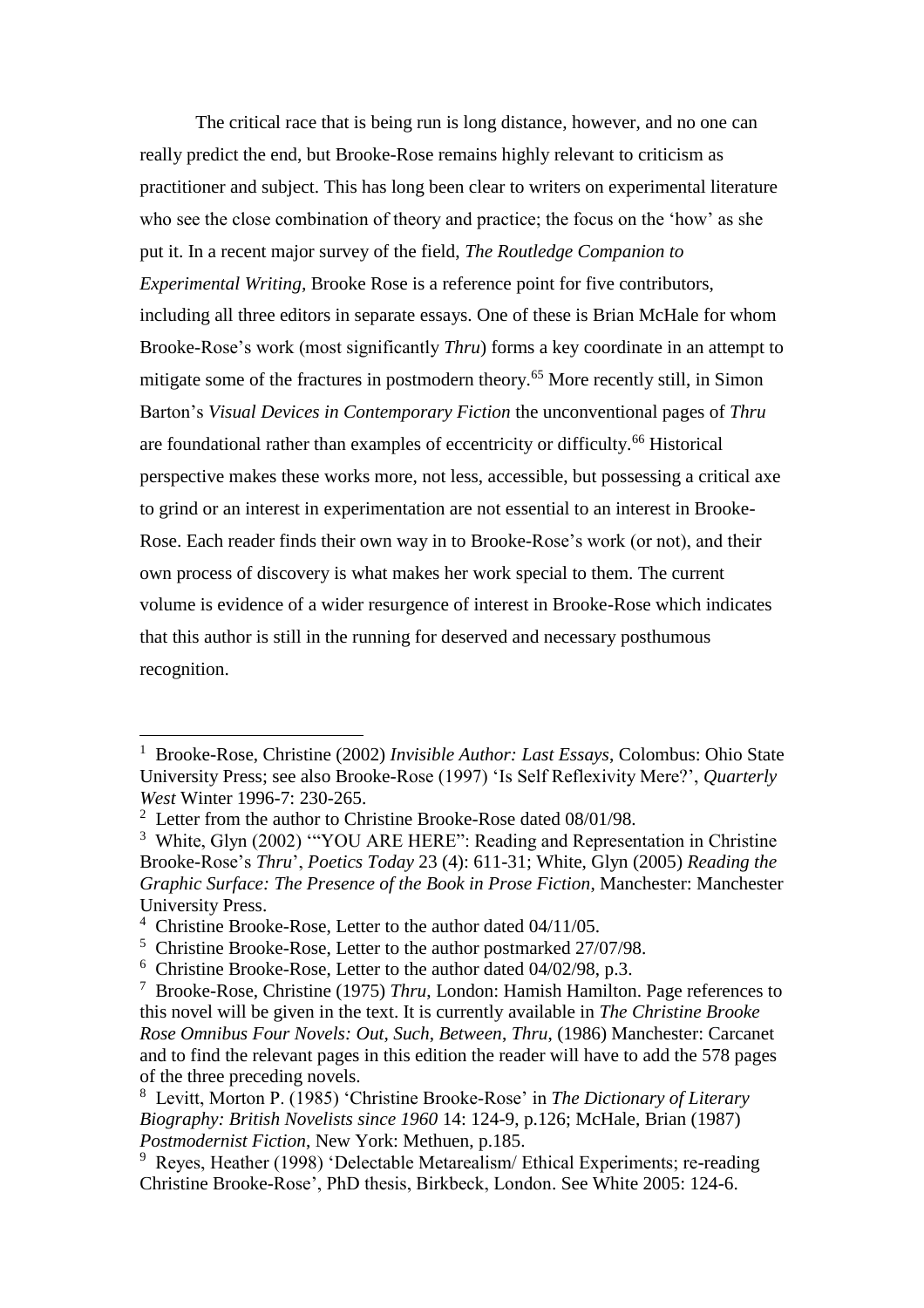The critical race that is being run is long distance, however, and no one can really predict the end, but Brooke-Rose remains highly relevant to criticism as practitioner and subject. This has long been clear to writers on experimental literature who see the close combination of theory and practice; the focus on the 'how' as she put it. In a recent major survey of the field, *The Routledge Companion to Experimental Writing,* Brooke Rose is a reference point for five contributors, including all three editors in separate essays. One of these is Brian McHale for whom Brooke-Rose's work (most significantly *Thru*) forms a key coordinate in an attempt to mitigate some of the fractures in postmodern theory.<sup>65</sup> More recently still, in Simon Barton's *Visual Devices in Contemporary Fiction* the unconventional pages of *Thru* are foundational rather than examples of eccentricity or difficulty.<sup>66</sup> Historical perspective makes these works more, not less, accessible, but possessing a critical axe to grind or an interest in experimentation are not essential to an interest in Brooke-Rose. Each reader finds their own way in to Brooke-Rose's work (or not), and their own process of discovery is what makes her work special to them. The current volume is evidence of a wider resurgence of interest in Brooke-Rose which indicates that this author is still in the running for deserved and necessary posthumous recognition.

 $\overline{a}$ 

<sup>1</sup> Brooke-Rose, Christine (2002) *Invisible Author: Last Essays*, Colombus: Ohio State University Press; see also Brooke-Rose (1997) 'Is Self Reflexivity Mere?', *Quarterly West* Winter 1996-7: 230-265.

 $2$  Letter from the author to Christine Brooke-Rose dated 08/01/98.

<sup>&</sup>lt;sup>3</sup> White, Glyn (2002) "YOU ARE HERE": Reading and Representation in Christine Brooke-Rose's *Thru*', *Poetics Today* 23 (4): 611-31; White, Glyn (2005) *Reading the Graphic Surface: The Presence of the Book in Prose Fiction*, Manchester: Manchester University Press.

<sup>4</sup> Christine Brooke-Rose, Letter to the author dated 04/11/05.

<sup>5</sup> Christine Brooke-Rose, Letter to the author postmarked 27/07/98.

 $6$  Christine Brooke-Rose, Letter to the author dated 04/02/98, p.3.

<sup>7</sup> Brooke-Rose, Christine (1975) *Thru*, London: Hamish Hamilton. Page references to this novel will be given in the text. It is currently available in *The Christine Brooke Rose Omnibus Four Novels: Out*, *Such*, *Between*, *Thru*, (1986) Manchester: Carcanet and to find the relevant pages in this edition the reader will have to add the 578 pages of the three preceding novels.

<sup>8</sup> Levitt, Morton P. (1985) 'Christine Brooke-Rose' in *The Dictionary of Literary Biography: British Novelists since 1960* 14: 124-9, p.126; McHale, Brian (1987) *Postmodernist Fiction*, New York: Methuen, p.185.

<sup>9</sup> Reyes, Heather (1998) 'Delectable Metarealism/ Ethical Experiments; re-reading Christine Brooke-Rose', PhD thesis, Birkbeck, London. See White 2005: 124-6.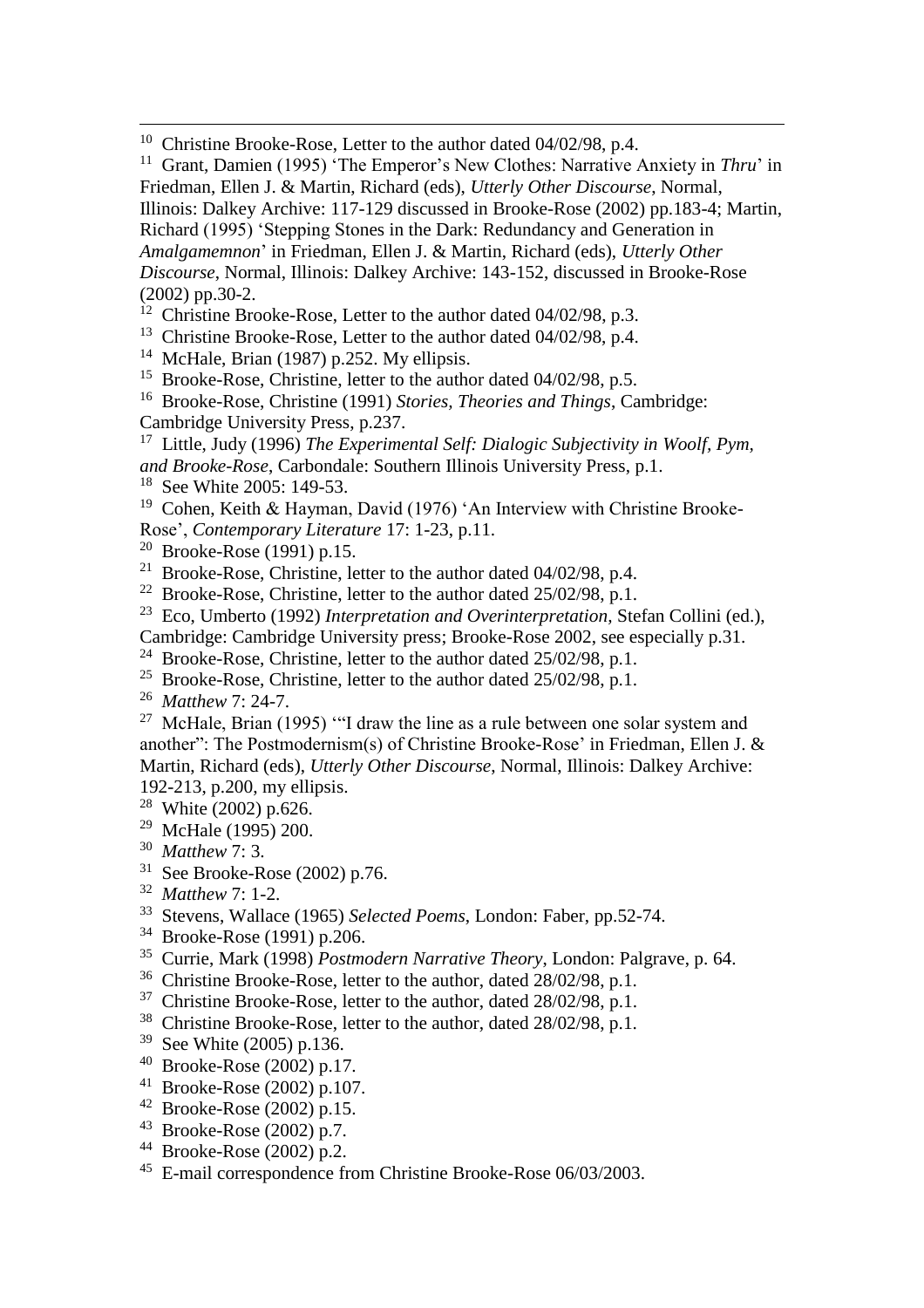- <sup>12</sup> Christine Brooke-Rose, Letter to the author dated 04/02/98, p.3.
- <sup>13</sup> Christine Brooke-Rose, Letter to the author dated 04/02/98, p.4.
- <sup>14</sup> McHale, Brian (1987) p.252. My ellipsis.
- <sup>15</sup> Brooke-Rose, Christine, letter to the author dated 04/02/98, p.5.

<sup>16</sup> Brooke-Rose, Christine (1991) *Stories, Theories and Things*, Cambridge: Cambridge University Press, p.237.

<sup>17</sup> Little, Judy (1996) *The Experimental Self: Dialogic Subjectivity in Woolf, Pym, and Brooke-Rose*, Carbondale: Southern Illinois University Press, p.1. <sup>18</sup> See White 2005: 149-53.

<sup>19</sup> Cohen, Keith & Hayman, David (1976) 'An Interview with Christine Brooke-Rose', *Contemporary Literature* 17: 1-23, p.11.

<sup>20</sup> Brooke-Rose (1991) p.15.

 $\overline{a}$ 

<sup>21</sup> Brooke-Rose, Christine, letter to the author dated  $04/02/98$ , p.4.

<sup>22</sup> Brooke-Rose, Christine, letter to the author dated 25/02/98, p.1.

<sup>23</sup> Eco, Umberto (1992) *Interpretation and Overinterpretation,* Stefan Collini (ed.),

Cambridge: Cambridge University press; Brooke-Rose 2002, see especially p.31.

<sup>24</sup> Brooke-Rose, Christine, letter to the author dated  $25/02/98$ , p.1.

<sup>25</sup> Brooke-Rose, Christine, letter to the author dated  $25/02/98$ , p.1.

26 *Matthew* 7: 24-7.

<sup>27</sup> McHale, Brian (1995) "I draw the line as a rule between one solar system and another": The Postmodernism(s) of Christine Brooke-Rose' in Friedman, Ellen J. & Martin, Richard (eds), *Utterly Other Discourse*, Normal, Illinois: Dalkey Archive: 192-213, p.200, my ellipsis.

- <sup>28</sup> White (2002) p.626.
- 29 McHale (1995) 200.
- <sup>30</sup> *Matthew* 7: 3.
- $31$  See Brooke-Rose (2002) p.76.
- <sup>32</sup> *Matthew* 7: 1-2.
- <sup>33</sup> Stevens, Wallace (1965) *Selected Poems*, London: Faber, pp.52-74.
- <sup>34</sup> Brooke-Rose (1991) p.206.
- <sup>35</sup> Currie, Mark (1998) *Postmodern Narrative Theory*, London: Palgrave, p. 64.
- <sup>36</sup> Christine Brooke-Rose, letter to the author, dated 28/02/98, p.1.
- <sup>37</sup> Christine Brooke-Rose, letter to the author, dated 28/02/98, p.1.
- <sup>38</sup> Christine Brooke-Rose, letter to the author, dated 28/02/98, p.1.
- <sup>39</sup> See White (2005) p.136.
- <sup>40</sup> Brooke-Rose (2002) p.17.
- <sup>41</sup> Brooke-Rose (2002) p.107.
- $42$  Brooke-Rose (2002) p.15.
- $43$  Brooke-Rose (2002) p.7.
- 44 Brooke-Rose (2002) p.2.
- <sup>45</sup> E-mail correspondence from Christine Brooke-Rose 06/03/2003.

<sup>&</sup>lt;sup>10</sup> Christine Brooke-Rose, Letter to the author dated 04/02/98, p.4.

<sup>&</sup>lt;sup>11</sup> Grant, Damien (1995) 'The Emperor's New Clothes: Narrative Anxiety in *Thru'* in Friedman, Ellen J. & Martin, Richard (eds), *Utterly Other Discourse*, Normal, Illinois: Dalkey Archive: 117-129 discussed in Brooke-Rose (2002) pp.183-4; Martin, Richard (1995) 'Stepping Stones in the Dark: Redundancy and Generation in *Amalgamemnon*' in Friedman, Ellen J. & Martin, Richard (eds), *Utterly Other Discourse*, Normal, Illinois: Dalkey Archive: 143-152, discussed in Brooke-Rose (2002) pp.30-2.